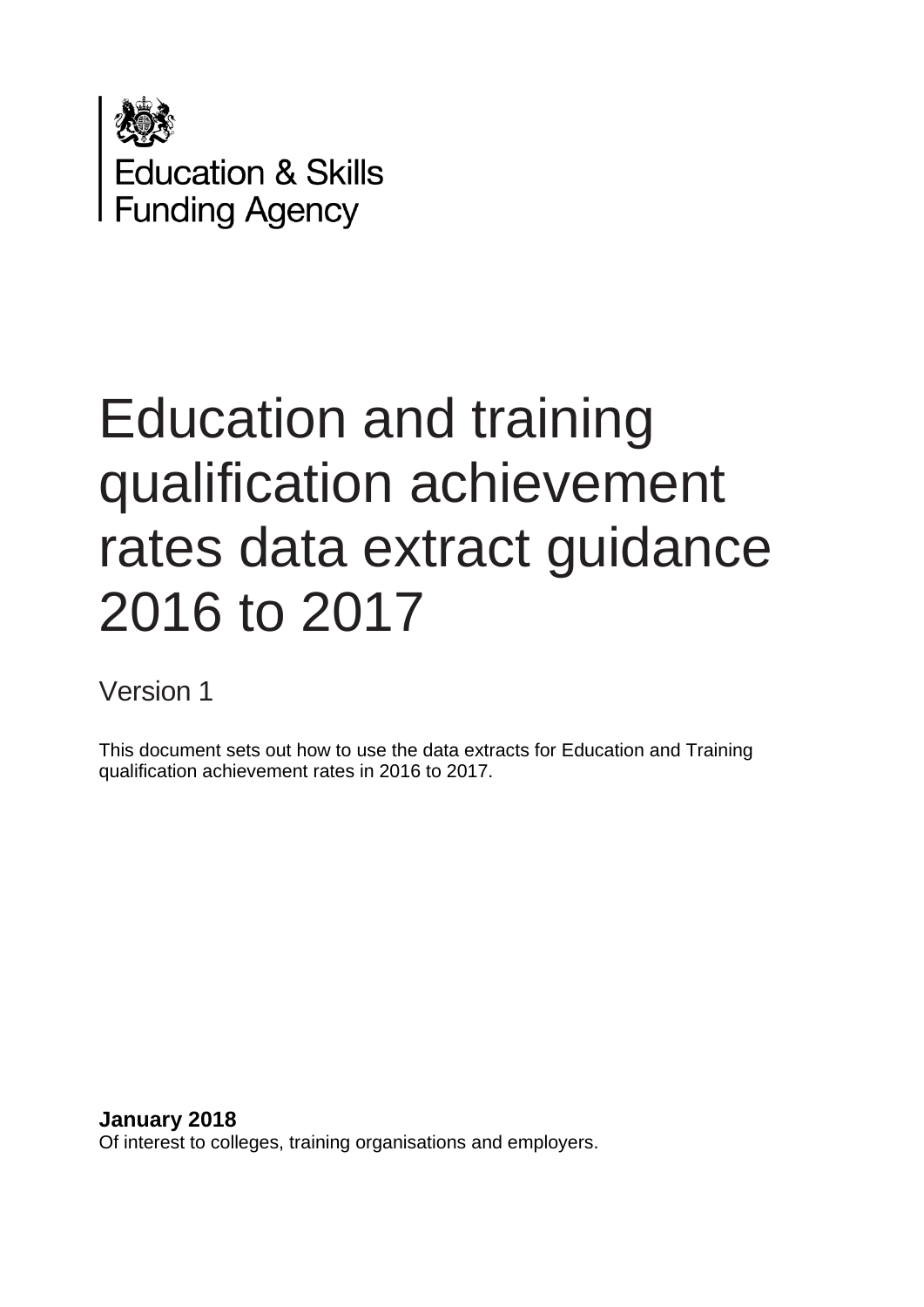

# Education and training qualification achievement rates data extract guidance 2016 to 2017

# Version 1

This document sets out how to use the data extracts for Education and Training qualification achievement rates in 2016 to 2017.

**January 2018** Of interest to colleges, training organisations and employers.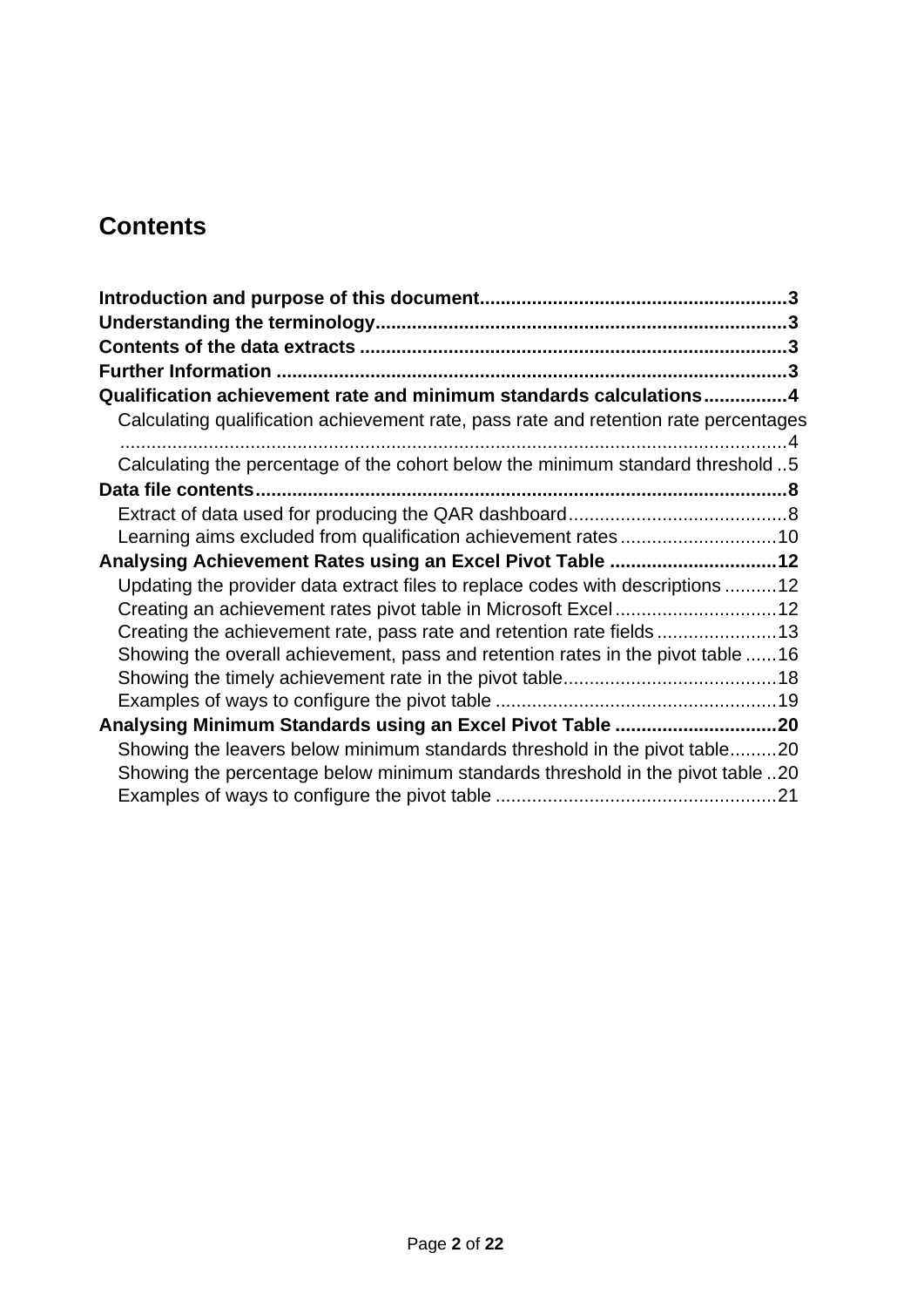## **Contents**

| Qualification achievement rate and minimum standards calculations4                   |
|--------------------------------------------------------------------------------------|
| Calculating qualification achievement rate, pass rate and retention rate percentages |
| Calculating the percentage of the cohort below the minimum standard threshold 5      |
|                                                                                      |
|                                                                                      |
| Learning aims excluded from qualification achievement rates10                        |
| Analysing Achievement Rates using an Excel Pivot Table 12                            |
| Updating the provider data extract files to replace codes with descriptions 12       |
|                                                                                      |
| Creating the achievement rate, pass rate and retention rate fields 13                |
| Showing the overall achievement, pass and retention rates in the pivot table 16      |
|                                                                                      |
|                                                                                      |
|                                                                                      |
| Showing the leavers below minimum standards threshold in the pivot table20           |
| Showing the percentage below minimum standards threshold in the pivot table 20       |
|                                                                                      |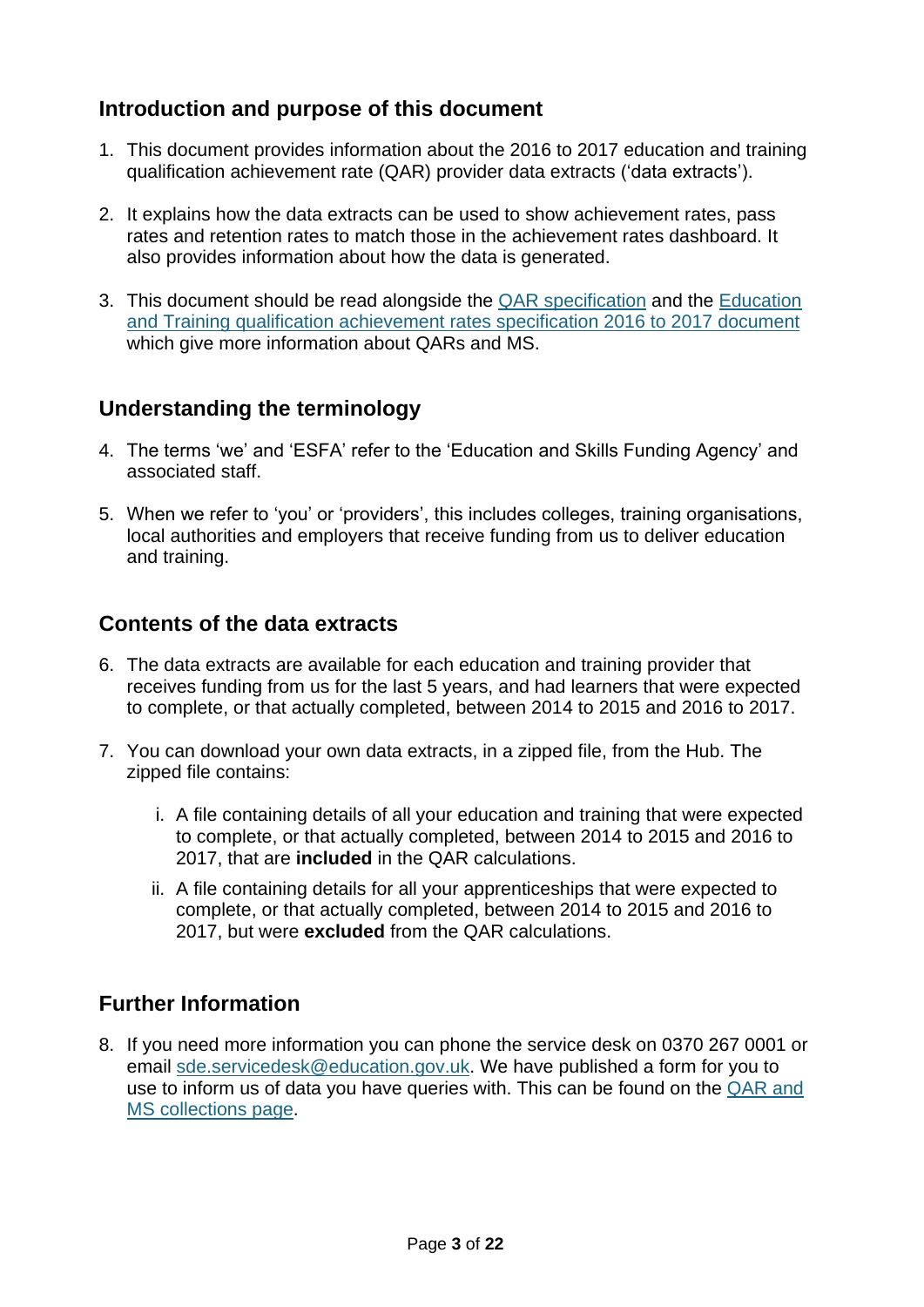## <span id="page-2-0"></span>**Introduction and purpose of this document**

- 1. This document provides information about the 2016 to 2017 education and training qualification achievement rate (QAR) provider data extracts ('data extracts').
- 2. It explains how the data extracts can be used to show achievement rates, pass rates and retention rates to match those in the achievement rates dashboard. It also provides information about how the data is generated.
- 3. This document should be read alongside the [QAR specification](https://www.gov.uk/government/publications/sfa-qualification-achievement-rates-2016-to-2017) and the [Education](https://www.gov.uk/government/publications/sfa-qualification-achievement-rates-2016-to-2017)  [and Training qualification achievement rates specification 2016 to 2017](https://www.gov.uk/government/publications/sfa-qualification-achievement-rates-2016-to-2017) document which give more information about QARs and MS.

## <span id="page-2-1"></span>**Understanding the terminology**

- 4. The terms 'we' and 'ESFA' refer to the 'Education and Skills Funding Agency' and associated staff.
- 5. When we refer to 'you' or 'providers', this includes colleges, training organisations, local authorities and employers that receive funding from us to deliver education and training.

## <span id="page-2-2"></span>**Contents of the data extracts**

- 6. The data extracts are available for each education and training provider that receives funding from us for the last 5 years, and had learners that were expected to complete, or that actually completed, between 2014 to 2015 and 2016 to 2017.
- 7. You can download your own data extracts, in a zipped file, from the Hub. The zipped file contains:
	- i. A file containing details of all your education and training that were expected to complete, or that actually completed, between 2014 to 2015 and 2016 to 2017, that are **included** in the QAR calculations.
	- ii. A file containing details for all your apprenticeships that were expected to complete, or that actually completed, between 2014 to 2015 and 2016 to 2017, but were **excluded** from the QAR calculations.

## <span id="page-2-3"></span>**Further Information**

8. If you need more information you can phone the service desk on 0370 267 0001 or email [sde.servicedesk@education.gov.uk.](mailto:sde.servicedesk@education.gov.uk) We have published a form for you to use to inform us of data you have queries with. This can be found on the [QAR and](https://www.gov.uk/government/collections/qualification-achievement-rates-and-minimum-standards)  [MS collections page.](https://www.gov.uk/government/collections/qualification-achievement-rates-and-minimum-standards)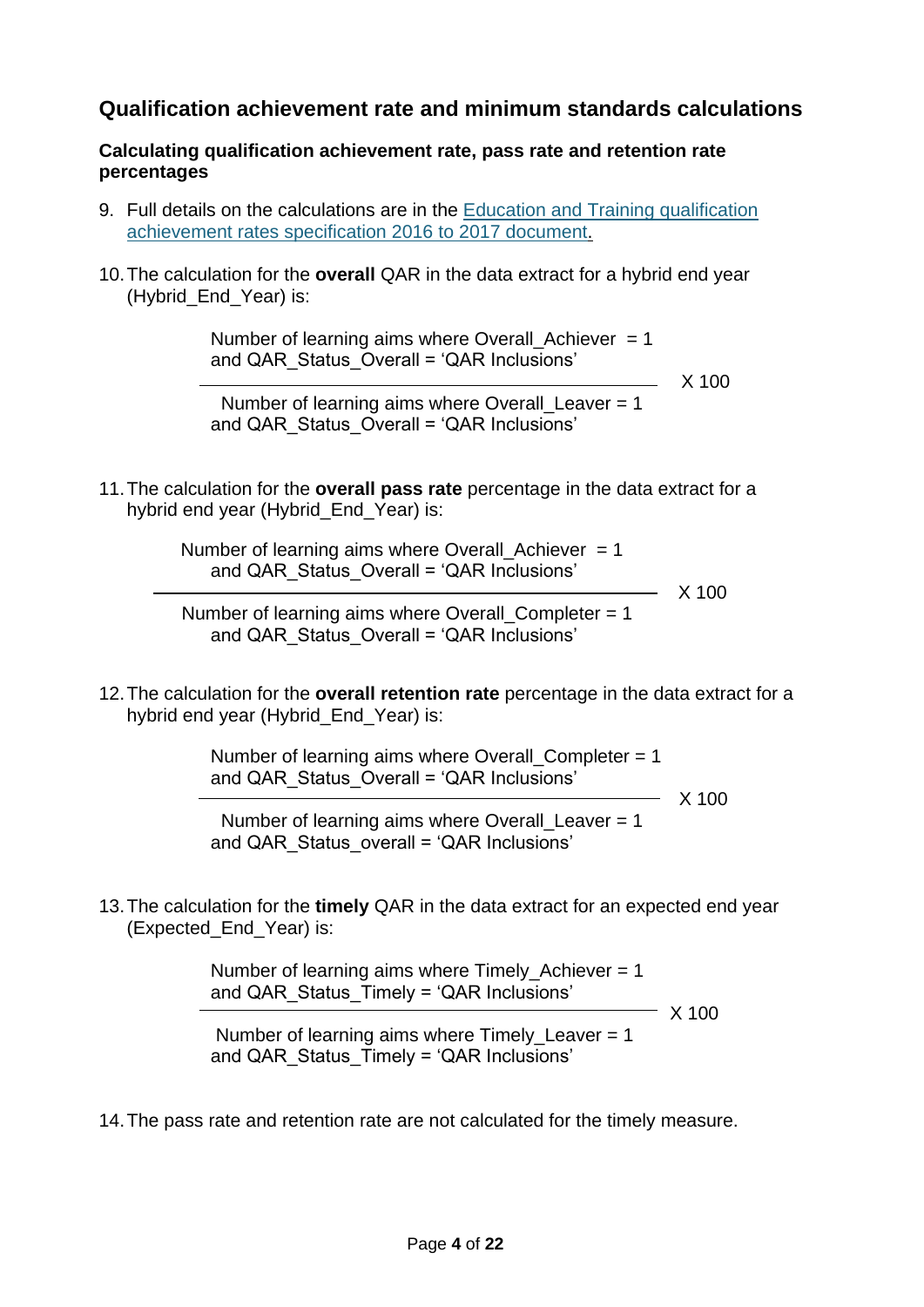## <span id="page-3-0"></span>**Qualification achievement rate and minimum standards calculations**

#### <span id="page-3-1"></span>**Calculating qualification achievement rate, pass rate and retention rate percentages**

- 9. Full details on the calculations are in the [Education and Training qualification](https://www.gov.uk/government/publications/sfa-qualification-achievement-rates-2016-to-2017)  [achievement rates specification 2016 to 2017](https://www.gov.uk/government/publications/sfa-qualification-achievement-rates-2016-to-2017) document.
- 10.The calculation for the **overall** QAR in the data extract for a hybrid end year (Hybrid\_End\_Year) is:

Number of learning aims where Overall Achiever  $= 1$ and QAR\_Status\_Overall = 'QAR Inclusions'

 $\overline{\phantom{0}}$  X 100

Number of learning aims where Overall Leaver  $= 1$ and QAR\_Status\_Overall = 'QAR Inclusions'

11.The calculation for the **overall pass rate** percentage in the data extract for a hybrid end year (Hybrid End Year) is:

> Number of learning aims where Overall\_Achiever  $= 1$ and QAR\_Status\_Overall = 'QAR Inclusions'

<u>and the set of the set of the set of the set of the set of the set of the set of the set of the set of the set of the set of the set of the set of the set of the set of the set of the set of the set of the set of the set </u>

Number of learning aims where Overall Completer  $= 1$ and QAR\_Status\_Overall = 'QAR Inclusions'

12.The calculation for the **overall retention rate** percentage in the data extract for a hybrid end year (Hybrid\_End\_Year) is:

> Number of learning aims where Overall Completer  $= 1$ and QAR\_Status\_Overall = 'QAR Inclusions'

<u>and the set of the set of the set of the set of the set of the set of the set of the set of the set of the set of the set of the set of the set of the set of the set of the set of the set of the set of the set of the set </u>

 Number of learning aims where Overall\_Leaver = 1 and QAR\_Status\_overall = 'QAR Inclusions'

13.The calculation for the **timely** QAR in the data extract for an expected end year (Expected\_End\_Year) is:

> Number of learning aims where  $Timely_$  Achiever = 1 and QAR\_Status\_Timely = 'QAR Inclusions'

> > $- X 100$

Number of learning aims where Timely Leaver  $= 1$ and QAR\_Status\_Timely = 'QAR Inclusions'

14.The pass rate and retention rate are not calculated for the timely measure.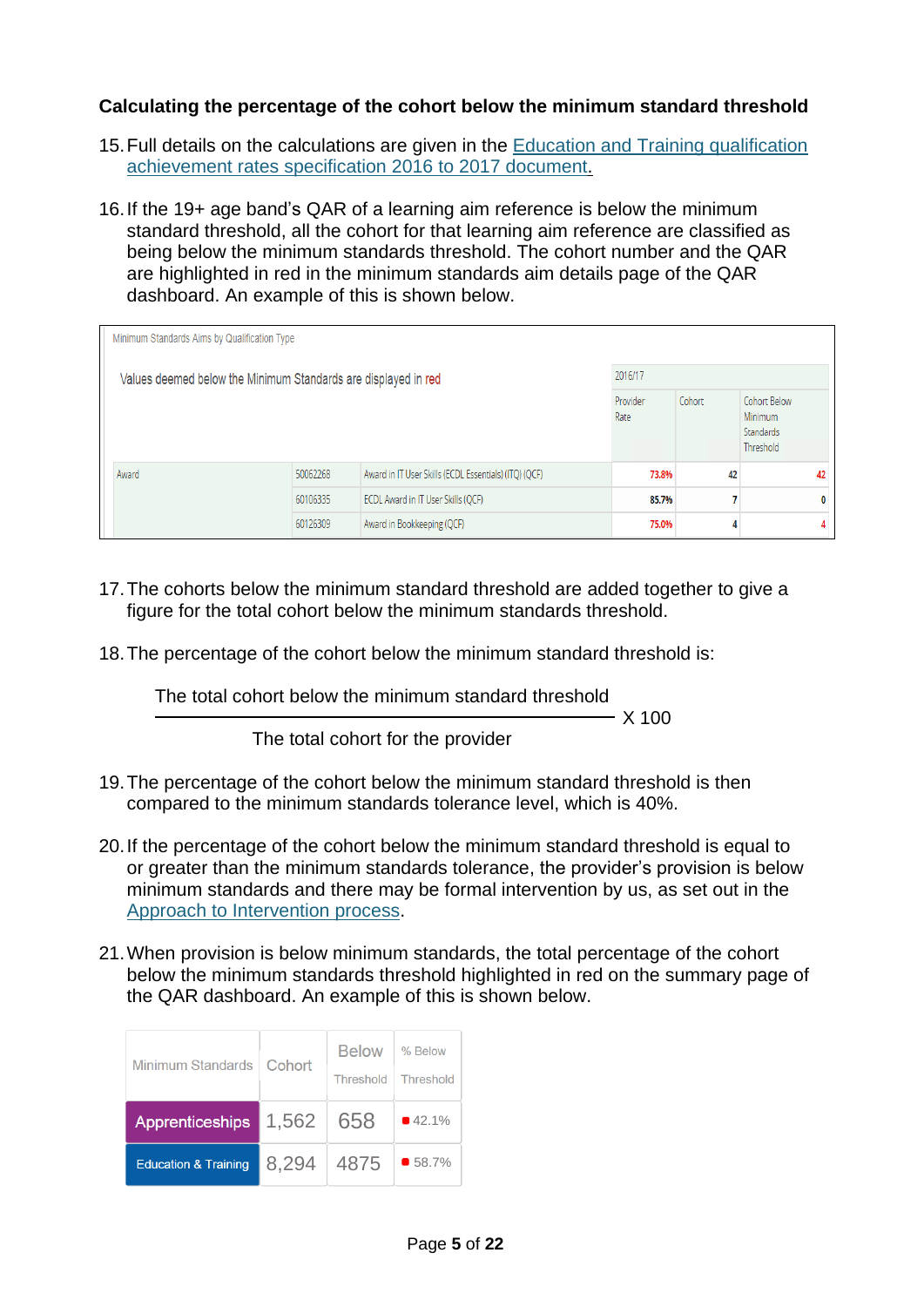### <span id="page-4-0"></span>**Calculating the percentage of the cohort below the minimum standard threshold**

- 15.Full details on the calculations are given in the [Education and Training qualification](https://www.gov.uk/government/publications/sfa-qualification-achievement-rates-2016-to-2017)  [achievement rates specification 2016 to 2017](https://www.gov.uk/government/publications/sfa-qualification-achievement-rates-2016-to-2017) document.
- 16.If the 19+ age band's QAR of a learning aim reference is below the minimum standard threshold, all the cohort for that learning aim reference are classified as being below the minimum standards threshold. The cohort number and the QAR are highlighted in red in the minimum standards aim details page of the QAR dashboard. An example of this is shown below.

| Minimum Standards Aims by Qualification Type                              |          |                                                       |                  |        |                                                   |    |  |  |
|---------------------------------------------------------------------------|----------|-------------------------------------------------------|------------------|--------|---------------------------------------------------|----|--|--|
| 2016/17<br>Values deemed below the Minimum Standards are displayed in red |          |                                                       |                  |        |                                                   |    |  |  |
|                                                                           |          |                                                       | Provider<br>Rate | Cohort | Cohort Below<br>Minimum<br>Standards<br>Threshold |    |  |  |
| Award                                                                     | 50062268 | Award in IT User Skills (ECDL Essentials) (ITQ) (QCF) | 73.8%            | 42     |                                                   | 42 |  |  |
|                                                                           | 60106335 | ECDL Award in IT User Skills (QCF)                    | 85.7%            | 7      |                                                   | 0  |  |  |
|                                                                           | 60126309 | Award in Bookkeeping (QCF)                            | 75.0%            | 4      |                                                   |    |  |  |

- 17.The cohorts below the minimum standard threshold are added together to give a figure for the total cohort below the minimum standards threshold.
- 18.The percentage of the cohort below the minimum standard threshold is:

The total cohort below the minimum standard threshold X 100 The total cohort for the provider

- 19.The percentage of the cohort below the minimum standard threshold is then compared to the minimum standards tolerance level, which is 40%.
- 20.If the percentage of the cohort below the minimum standard threshold is equal to or greater than the minimum standards tolerance, the provider's provision is below minimum standards and there may be formal intervention by us, as set out in the [Approach to Intervention process.](https://www.gov.uk/guidance/16-to-19-education-accountability)
- 21.When provision is below minimum standards, the total percentage of the cohort below the minimum standards threshold highlighted in red on the summary page of the QAR dashboard. An example of this is shown below.

| Minimum Standards               | Cohort | <b>Below</b><br>Threshold | % Below<br>Threshold |
|---------------------------------|--------|---------------------------|----------------------|
| <b>Apprenticeships</b>          | 1,562  | 658                       | 42.1%                |
| <b>Education &amp; Training</b> | 8,294  | 4875                      | $$58.7\%$            |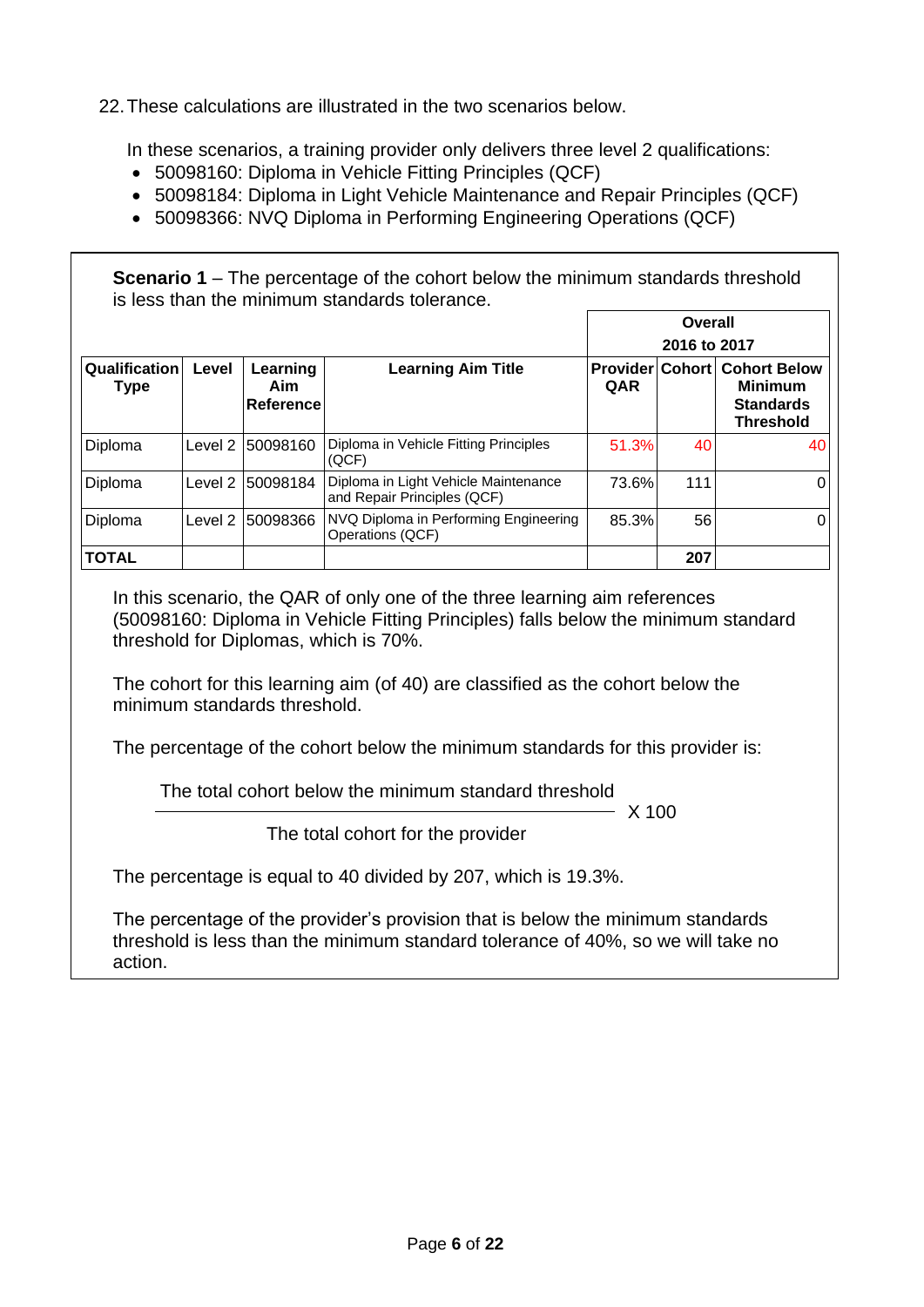22.These calculations are illustrated in the two scenarios below.

In these scenarios, a training provider only delivers three level 2 qualifications:

- 50098160: Diploma in Vehicle Fitting Principles (QCF)
- 50098184: Diploma in Light Vehicle Maintenance and Repair Principles (QCF)
- 50098366: NVQ Diploma in Performing Engineering Operations (QCF)

**Scenario 1** – The percentage of the cohort below the minimum standards threshold is less than the minimum standards tolerance.

|                              |         |                                     |                                                                     | <b>Overall</b> |              |                                                                                               |
|------------------------------|---------|-------------------------------------|---------------------------------------------------------------------|----------------|--------------|-----------------------------------------------------------------------------------------------|
|                              |         |                                     |                                                                     |                | 2016 to 2017 |                                                                                               |
| Qualification<br><b>Type</b> | Level   | Learning<br>Aim<br><b>Reference</b> | <b>Learning Aim Title</b>                                           | QAR            |              | <b>Provider Cohort Cohort Below</b><br><b>Minimum</b><br><b>Standards</b><br><b>Threshold</b> |
| Diploma                      | Level 2 | 50098160                            | Diploma in Vehicle Fitting Principles<br>(QCF)                      | 51.3%          | 401          | 40                                                                                            |
| Diploma                      | Level 2 | 50098184                            | Diploma in Light Vehicle Maintenance<br>and Repair Principles (QCF) | 73.6%          | 111          |                                                                                               |
| Diploma                      | Level 2 | 50098366                            | NVQ Diploma in Performing Engineering<br>Operations (QCF)           | 85.3%          | 56           |                                                                                               |
| <b>TOTAL</b>                 |         |                                     |                                                                     |                | 207          |                                                                                               |

In this scenario, the QAR of only one of the three learning aim references (50098160: Diploma in Vehicle Fitting Principles) falls below the minimum standard threshold for Diplomas, which is 70%.

The cohort for this learning aim (of 40) are classified as the cohort below the minimum standards threshold.

The percentage of the cohort below the minimum standards for this provider is:

The total cohort below the minimum standard threshold

 $- X 100$ 

The total cohort for the provider

The percentage is equal to 40 divided by 207, which is 19.3%.

The percentage of the provider's provision that is below the minimum standards threshold is less than the minimum standard tolerance of 40%, so we will take no action.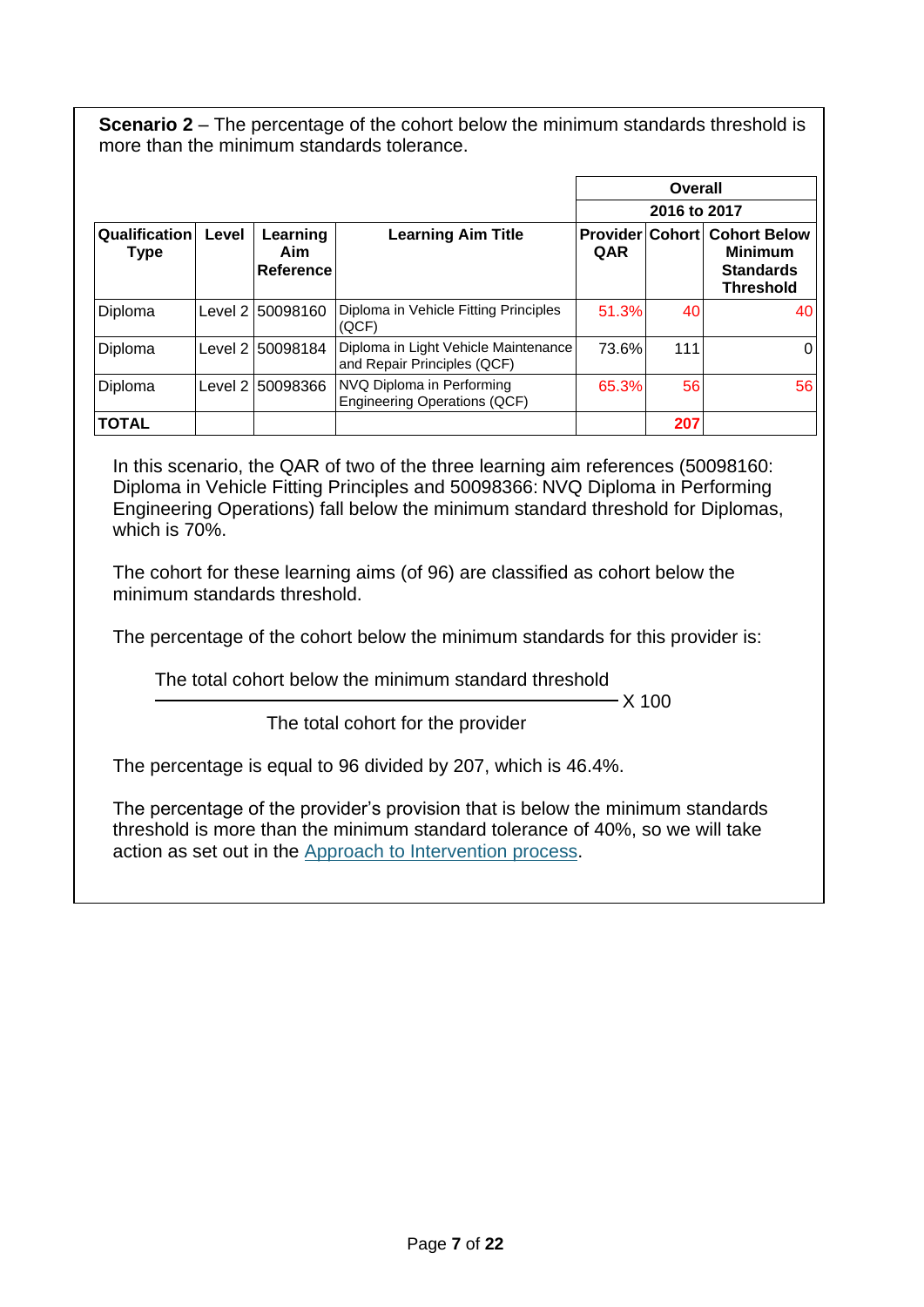**Scenario 2** – The percentage of the cohort below the minimum standards threshold is more than the minimum standards tolerance.

|                              |         |                              |                                                                     |       | Overall      |                                                                                               |
|------------------------------|---------|------------------------------|---------------------------------------------------------------------|-------|--------------|-----------------------------------------------------------------------------------------------|
|                              |         |                              |                                                                     |       | 2016 to 2017 |                                                                                               |
| Qualification<br><b>Type</b> | Level   | Learning<br>Aim<br>Reference | <b>Learning Aim Title</b>                                           | QAR   |              | <b>Provider Cohort Cohort Below</b><br><b>Minimum</b><br><b>Standards</b><br><b>Threshold</b> |
| Diploma                      |         | Level 2 50098160             | Diploma in Vehicle Fitting Principles<br>(QCF)                      | 51.3% | 40           | 40                                                                                            |
| Diploma                      | Level 2 | 50098184                     | Diploma in Light Vehicle Maintenance<br>and Repair Principles (QCF) | 73.6% | 111          | 0                                                                                             |
| Diploma                      | Level 2 | 150098366                    | NVQ Diploma in Performing<br><b>Engineering Operations (QCF)</b>    | 65.3% | 56           | 56                                                                                            |
| <b>TOTAL</b>                 |         |                              |                                                                     |       | 207          |                                                                                               |

In this scenario, the QAR of two of the three learning aim references (50098160: Diploma in Vehicle Fitting Principles and 50098366: NVQ Diploma in Performing Engineering Operations) fall below the minimum standard threshold for Diplomas, which is 70%.

The cohort for these learning aims (of 96) are classified as cohort below the minimum standards threshold.

The percentage of the cohort below the minimum standards for this provider is:

The total cohort below the minimum standard threshold

 $- X 100$ 

The total cohort for the provider

The percentage is equal to 96 divided by 207, which is 46.4%.

The percentage of the provider's provision that is below the minimum standards threshold is more than the minimum standard tolerance of 40%, so we will take action as set out in the [Approach to Intervention process.](file:///C:/Users/koyeneye/AppData/Local/Microsoft/Windows/INetCache/AppData/Local/Microsoft/Windows/INetCache/AppData/Local/Microsoft/Windows/INetCache/Content.Outlook/E2A1R600/the%20QAR%20of%20an%20apprenticeship%20level%20of%20an%20apprenticeship%20is%20below%20the%20minimum%20standard%20threshold,%20all%20the%20cohort%20for%20that%20apprenticeship%20level%20and%20apprenticeship%20are%20classified%20as%20being%20below%20the%20minimum%20standards%20threshold.%20The%20cohort%20and%20the%20QAR%20are%20highlighted%20in%20red%20in%20the%20minimum%20standards%20details%20tab%20of%20the%20QAR%20dashboard.)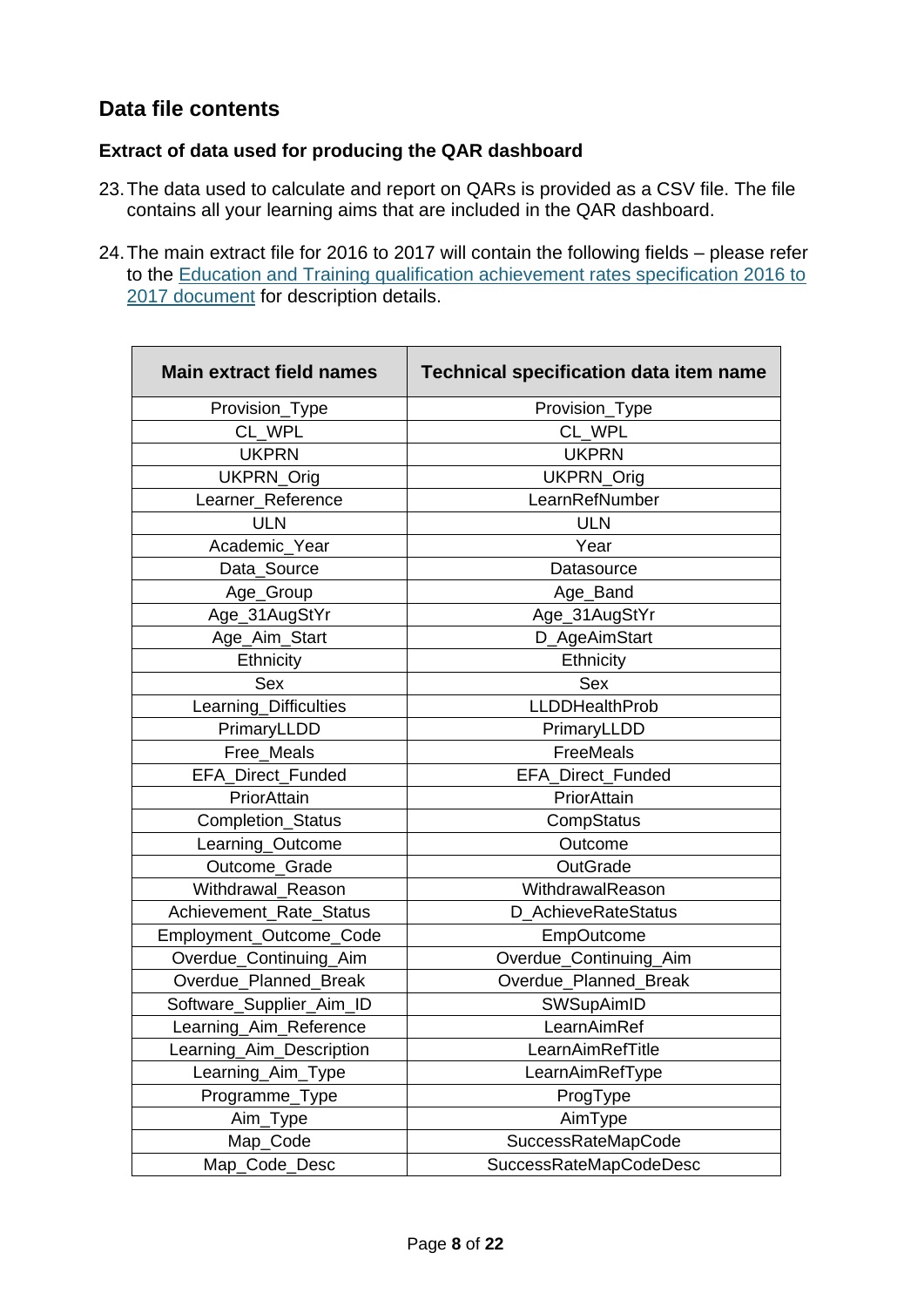## <span id="page-7-0"></span>**Data file contents**

## <span id="page-7-1"></span>**Extract of data used for producing the QAR dashboard**

- 23.The data used to calculate and report on QARs is provided as a CSV file. The file contains all your learning aims that are included in the QAR dashboard.
- 24.The main extract file for 2016 to 2017 will contain the following fields please refer to the [Education and Training qualification achievement rates specification 2016 to](https://www.gov.uk/government/publications/sfa-qualification-achievement-rates-2016-to-2017)  [2017 document](https://www.gov.uk/government/publications/sfa-qualification-achievement-rates-2016-to-2017) for description details.

| <b>Main extract field names</b> | <b>Technical specification data item name</b> |
|---------------------------------|-----------------------------------------------|
| Provision_Type                  | Provision_Type                                |
| CL_WPL                          | CL WPL                                        |
| <b>UKPRN</b>                    | <b>UKPRN</b>                                  |
| UKPRN_Orig                      | UKPRN_Orig                                    |
| Learner_Reference               | LearnRefNumber                                |
| <b>ULN</b>                      | <b>ULN</b>                                    |
| Academic_Year                   | Year                                          |
| Data_Source                     | Datasource                                    |
| Age_Group                       | Age_Band                                      |
| Age_31AugStYr                   | Age_31AugStYr                                 |
| Age_Aim_Start                   | D_AgeAimStart                                 |
| Ethnicity                       | Ethnicity                                     |
| <b>Sex</b>                      | Sex                                           |
| Learning_Difficulties           | <b>LLDDHealthProb</b>                         |
| PrimaryLLDD                     | PrimaryLLDD                                   |
| Free_Meals                      | FreeMeals                                     |
| EFA_Direct_Funded               | EFA_Direct_Funded                             |
| PriorAttain                     | PriorAttain                                   |
| Completion_Status               | CompStatus                                    |
| Learning_Outcome                | Outcome                                       |
| Outcome_Grade                   | OutGrade                                      |
| Withdrawal_Reason               | WithdrawalReason                              |
| Achievement_Rate_Status         | D_AchieveRateStatus                           |
| Employment_Outcome_Code         | EmpOutcome                                    |
| Overdue_Continuing_Aim          | Overdue_Continuing_Aim                        |
| Overdue Planned Break           | Overdue_Planned_Break                         |
| Software_Supplier_Aim_ID        | SWSupAimID                                    |
| Learning_Aim_Reference          | LearnAimRef                                   |
| Learning_Aim_Description        | LearnAimRefTitle                              |
| Learning_Aim_Type               | LearnAimRefType                               |
| Programme_Type                  | ProgType                                      |
| Aim_Type                        | AimType                                       |
| Map_Code                        | <b>SuccessRateMapCode</b>                     |
| Map_Code_Desc                   | SuccessRateMapCodeDesc                        |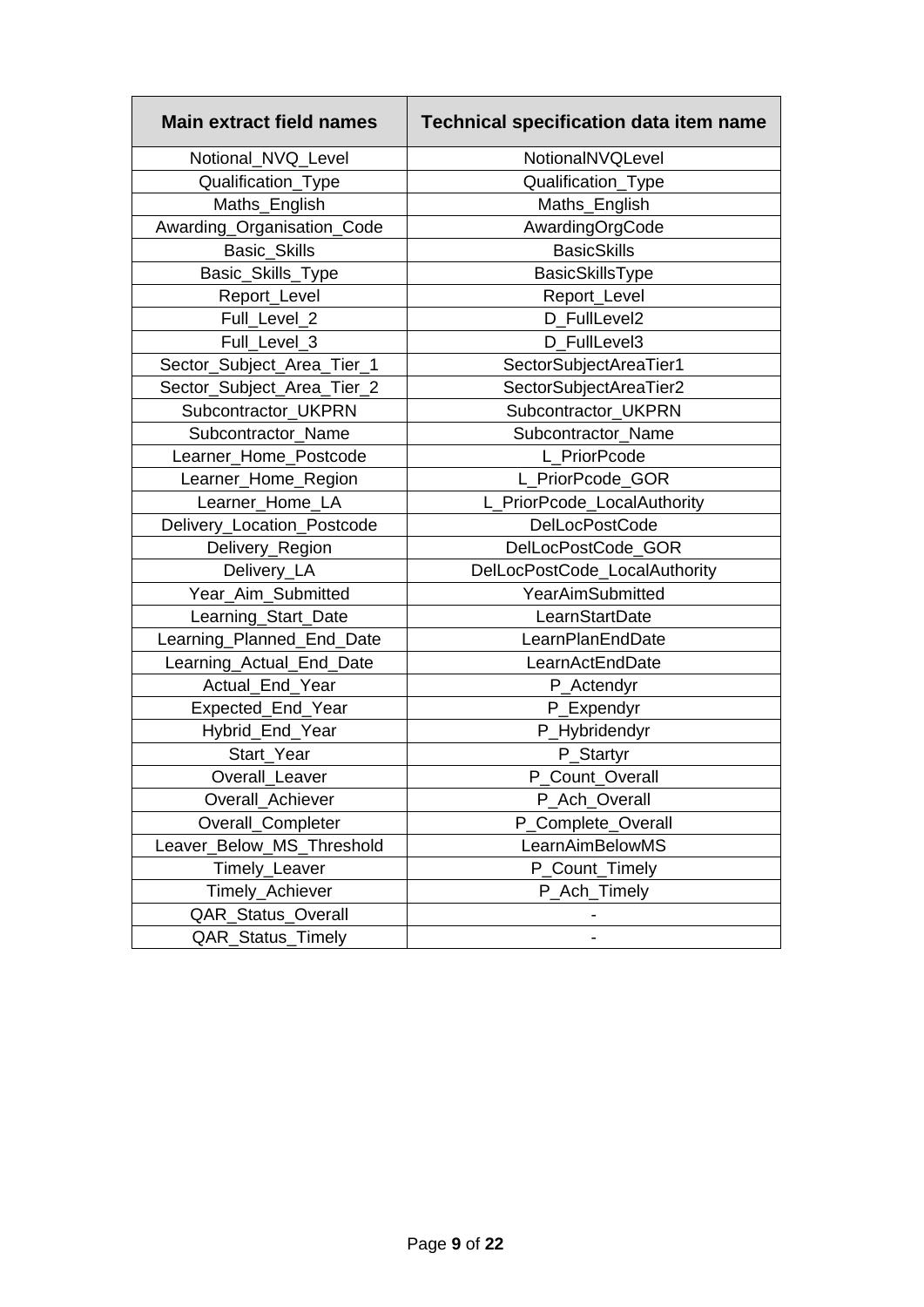| <b>Main extract field names</b> | <b>Technical specification data item name</b> |
|---------------------------------|-----------------------------------------------|
| Notional NVQ Level              | NotionalNVQLevel                              |
| Qualification_Type              | Qualification_Type                            |
| Maths_English                   | Maths_English                                 |
| Awarding_Organisation_Code      | AwardingOrgCode                               |
| <b>Basic Skills</b>             | <b>BasicSkills</b>                            |
| Basic_Skills_Type               | BasicSkillsType                               |
| Report_Level                    | Report_Level                                  |
| Full_Level_2                    | D FullLevel2                                  |
| Full_Level_3                    | D FullLevel3                                  |
| Sector_Subject_Area_Tier_1      | SectorSubjectAreaTier1                        |
| Sector_Subject_Area_Tier_2      | SectorSubjectAreaTier2                        |
| Subcontractor_UKPRN             | Subcontractor UKPRN                           |
| Subcontractor Name              | Subcontractor Name                            |
| Learner_Home_Postcode           | L PriorPcode                                  |
| Learner_Home_Region             | L_PriorPcode_GOR                              |
| Learner_Home_LA                 | L_PriorPcode_LocalAuthority                   |
| Delivery_Location_Postcode      | <b>DelLocPostCode</b>                         |
| Delivery_Region                 | DelLocPostCode_GOR                            |
| Delivery_LA                     | DelLocPostCode_LocalAuthority                 |
| Year_Aim_Submitted              | YearAimSubmitted                              |
| Learning_Start_Date             | LearnStartDate                                |
| Learning_Planned_End_Date       | LearnPlanEndDate                              |
| Learning_Actual_End_Date        | LearnActEndDate                               |
| Actual_End_Year                 | P_Actendyr                                    |
| Expected_End_Year               | P_Expendyr                                    |
| Hybrid_End_Year                 | P_Hybridendyr                                 |
| Start Year                      | P_Startyr                                     |
| Overall Leaver                  | P_Count_Overall                               |
| Overall_Achiever                | P_Ach_Overall                                 |
| Overall_Completer               | P Complete Overall                            |
| Leaver_Below_MS_Threshold       | LearnAimBelowMS                               |
| Timely_Leaver                   | P Count Timely                                |
| Timely_Achiever                 | P_Ach_Timely                                  |
| <b>QAR_Status_Overall</b>       |                                               |
| QAR_Status_Timely               |                                               |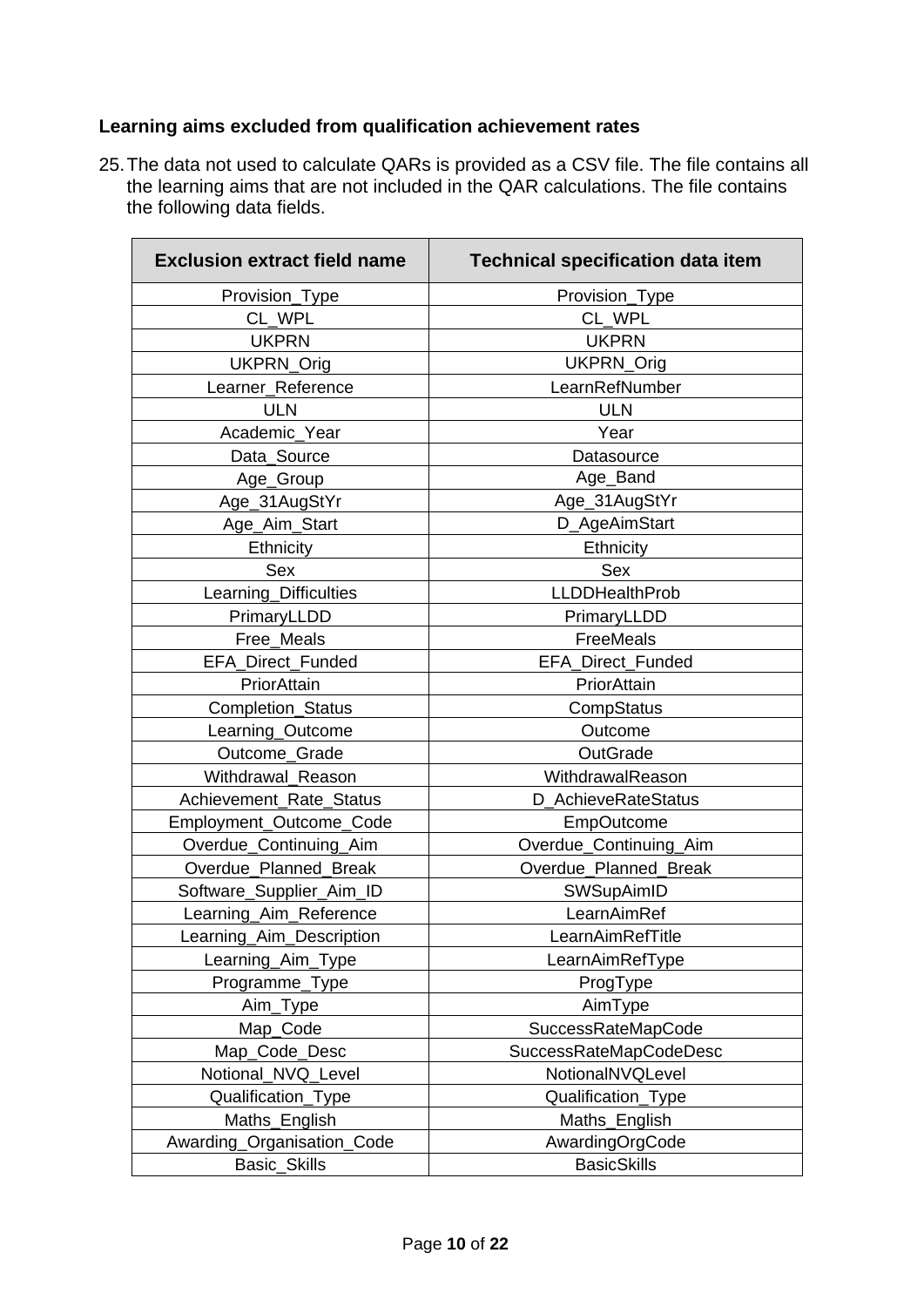## <span id="page-9-0"></span>**Learning aims excluded from qualification achievement rates**

25.The data not used to calculate QARs is provided as a CSV file. The file contains all the learning aims that are not included in the QAR calculations. The file contains the following data fields.

| <b>Exclusion extract field name</b> | <b>Technical specification data item</b> |
|-------------------------------------|------------------------------------------|
| Provision_Type                      | Provision_Type                           |
| CL WPL                              | CL WPL                                   |
| <b>UKPRN</b>                        | <b>UKPRN</b>                             |
| UKPRN_Orig                          | UKPRN_Orig                               |
| Learner_Reference                   | LearnRefNumber                           |
| <b>ULN</b>                          | <b>ULN</b>                               |
| Academic Year                       | Year                                     |
| Data_Source                         | Datasource                               |
| Age_Group                           | Age_Band                                 |
| Age_31AugStYr                       | Age_31AugStYr                            |
| Age_Aim_Start                       | D_AgeAimStart                            |
| Ethnicity                           | Ethnicity                                |
| <b>Sex</b>                          | <b>Sex</b>                               |
| Learning_Difficulties               | <b>LLDDHealthProb</b>                    |
| PrimaryLLDD                         | PrimaryLLDD                              |
| Free_Meals                          | FreeMeals                                |
| EFA_Direct_Funded                   | EFA_Direct_Funded                        |
| PriorAttain                         | PriorAttain                              |
| Completion_Status                   | CompStatus                               |
| Learning_Outcome                    | Outcome                                  |
| Outcome_Grade                       | OutGrade                                 |
| Withdrawal_Reason                   | WithdrawalReason                         |
| Achievement_Rate_Status             | D AchieveRateStatus                      |
| Employment_Outcome_Code             | <b>EmpOutcome</b>                        |
| Overdue_Continuing_Aim              | Overdue_Continuing_Aim                   |
| Overdue_Planned_Break               | Overdue_Planned_Break                    |
| Software_Supplier_Aim_ID            | SWSupAimID                               |
| Learning_Aim_Reference              | LearnAimRef                              |
| Learning_Aim_Description            | LearnAimRefTitle                         |
| Learning_Aim_Type                   | LearnAimRefType                          |
| Programme_Type                      | ProgType                                 |
| Aim_Type                            | AimType                                  |
| Map_Code                            | SuccessRateMapCode                       |
| Map_Code_Desc                       | <b>SuccessRateMapCodeDesc</b>            |
| Notional_NVQ_Level                  | NotionalNVQLevel                         |
| Qualification_Type                  | Qualification_Type                       |
| Maths_English                       | Maths_English                            |
| Awarding_Organisation_Code          | AwardingOrgCode                          |
| Basic_Skills                        | <b>BasicSkills</b>                       |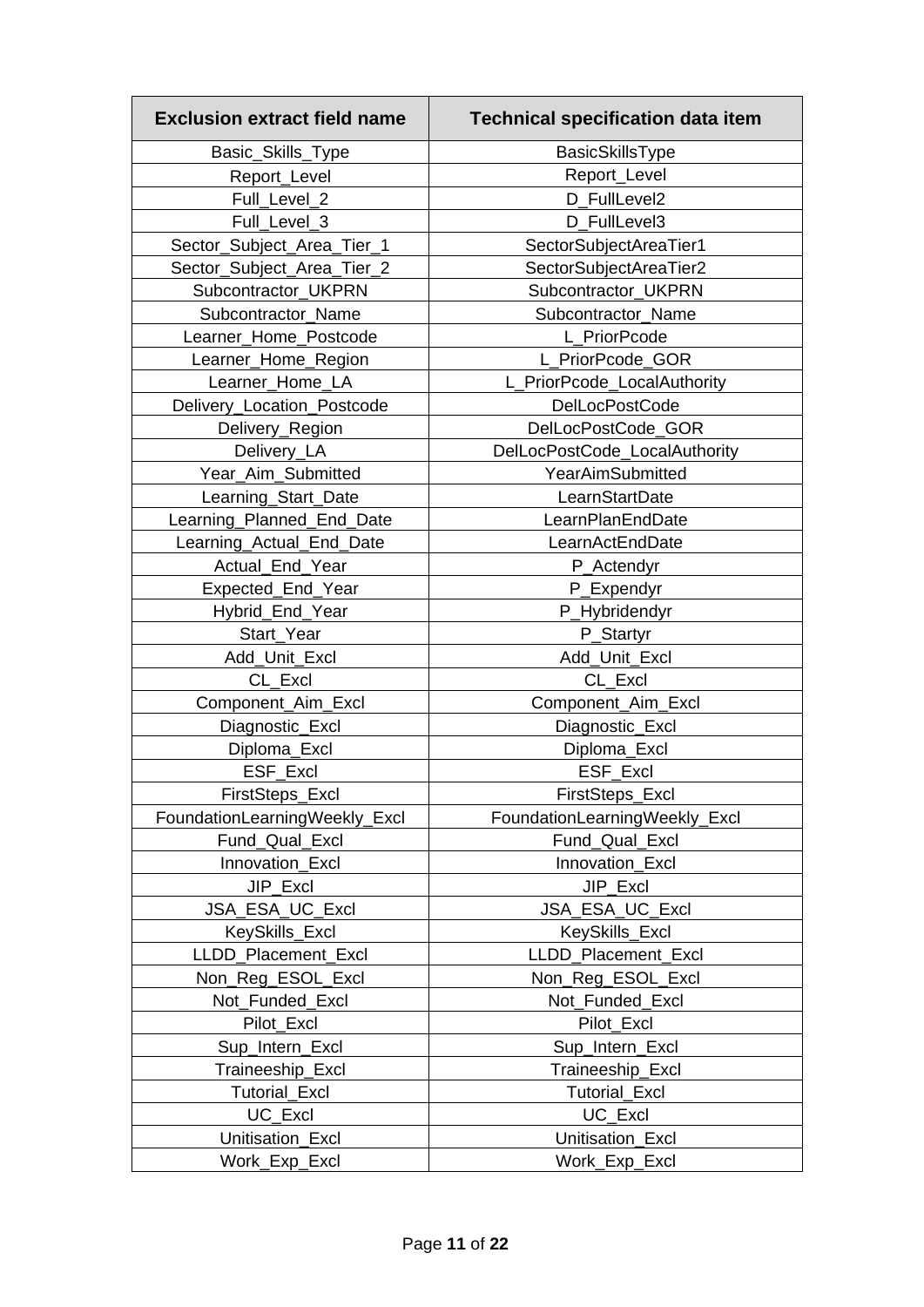| <b>Exclusion extract field name</b> | <b>Technical specification data item</b> |
|-------------------------------------|------------------------------------------|
| Basic_Skills_Type                   | BasicSkillsType                          |
| Report_Level                        | Report_Level                             |
| Full_Level_2                        | D FullLevel2                             |
| Full_Level_3                        | D FullLevel3                             |
| Sector_Subject_Area_Tier_1          | SectorSubjectAreaTier1                   |
| Sector_Subject_Area_Tier_2          | SectorSubjectAreaTier2                   |
| Subcontractor_UKPRN                 | Subcontractor_UKPRN                      |
| Subcontractor_Name                  | Subcontractor Name                       |
| Learner_Home_Postcode               | L PriorPcode                             |
| Learner_Home_Region                 | L_PriorPcode_GOR                         |
| Learner_Home_LA                     | PriorPcode_LocalAuthority                |
| Delivery_Location_Postcode          | <b>DelLocPostCode</b>                    |
| Delivery_Region                     | DelLocPostCode_GOR                       |
| Delivery_LA                         | DelLocPostCode_LocalAuthority            |
| Year_Aim_Submitted                  | YearAimSubmitted                         |
| Learning_Start_Date                 | LearnStartDate                           |
| Learning_Planned_End_Date           | LearnPlanEndDate                         |
| Learning_Actual_End_Date            | LearnActEndDate                          |
| Actual_End_Year                     | P_Actendyr                               |
| Expected_End_Year                   | P_Expendyr                               |
| Hybrid_End_Year                     | P_Hybridendyr                            |
| Start Year                          | P_Startyr                                |
| Add_Unit_Excl                       | Add_Unit_Excl                            |
| CL_Excl                             | CL_Excl                                  |
| Component_Aim_Excl                  | Component_Aim_Excl                       |
| Diagnostic_Excl                     | Diagnostic_Excl                          |
| Diploma_Excl                        | Diploma_Excl                             |
| ESF_Excl                            | ESF_Excl                                 |
| FirstSteps_Excl                     | FirstSteps_Excl                          |
| FoundationLearningWeekly_Excl       | FoundationLearningWeekly_Excl            |
| Fund_Qual_Excl                      | Fund_Qual_Excl                           |
| Innovation_Excl                     | Innovation_Excl                          |
| JIP_Excl                            | JIP Excl                                 |
| JSA_ESA_UC_Excl                     | JSA_ESA_UC_Excl                          |
| KeySkills_Excl                      | KeySkills_Excl                           |
| LLDD_Placement_Excl                 | <b>LLDD Placement Excl</b>               |
| Non_Reg_ESOL_Excl                   | Non_Reg_ESOL_Excl                        |
| Not_Funded_Excl                     | Not_Funded_Excl                          |
| Pilot_Excl                          | Pilot_Excl                               |
| Sup_Intern_Excl                     | Sup_Intern_Excl                          |
| Traineeship_Excl                    | Traineeship_Excl                         |
| <b>Tutorial_Excl</b>                | <b>Tutorial_Excl</b>                     |
| UC_Excl                             | UC_Excl                                  |
| Unitisation_Excl                    | Unitisation_Excl                         |
| Work_Exp_Excl                       | Work_Exp_Excl                            |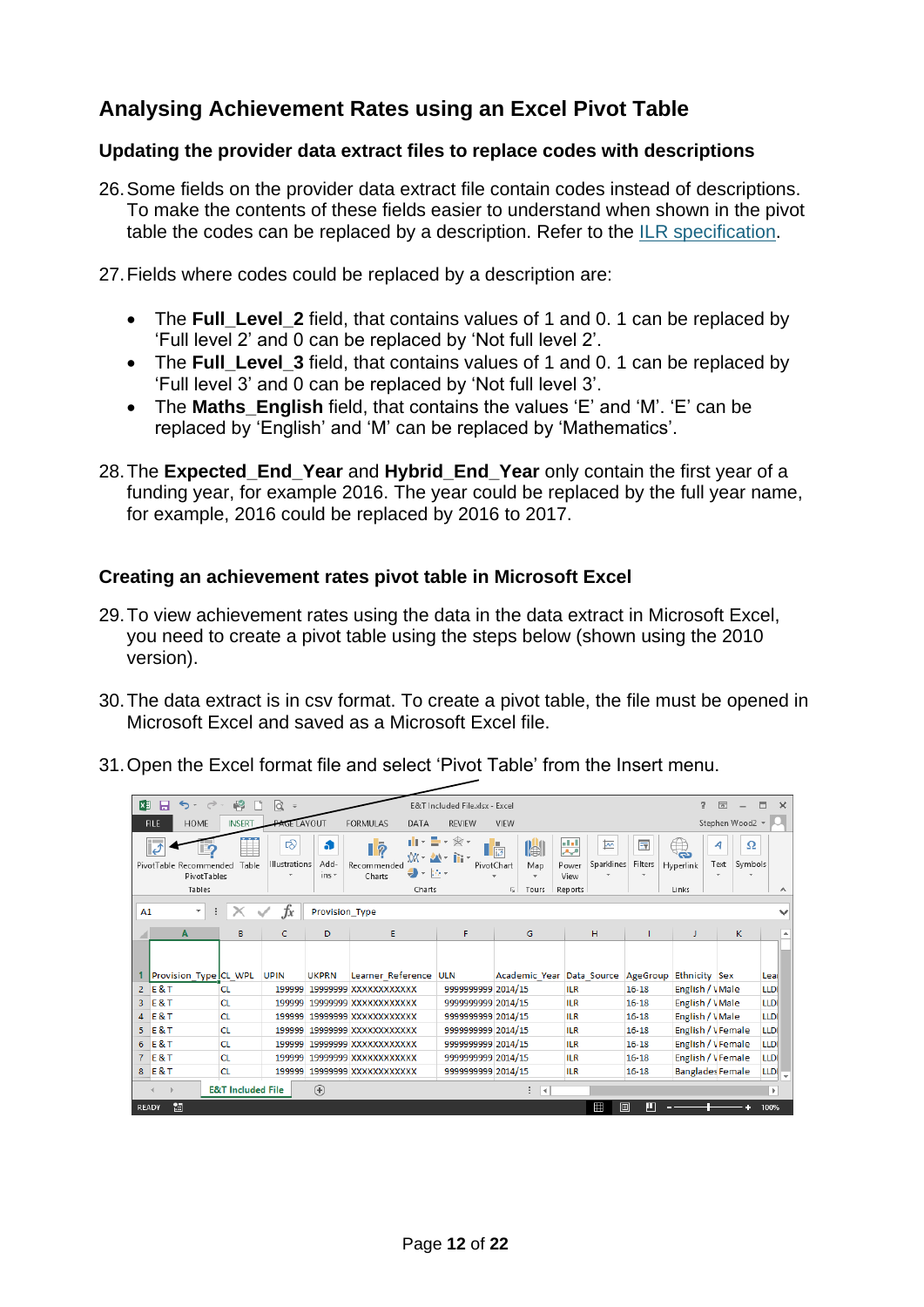## <span id="page-11-0"></span>**Analysing Achievement Rates using an Excel Pivot Table**

#### <span id="page-11-1"></span>**Updating the provider data extract files to replace codes with descriptions**

26.Some fields on the provider data extract file contain codes instead of descriptions. To make the contents of these fields easier to understand when shown in the pivot table the codes can be replaced by a description. Refer to the [ILR specification.](https://www.gov.uk/government/publications/ilr-specification-validation-rules-and-appendices-2016-to-2017)

27.Fields where codes could be replaced by a description are:

- The **Full Level 2** field, that contains values of 1 and 0. 1 can be replaced by 'Full level 2' and 0 can be replaced by 'Not full level 2'.
- The **Full\_Level\_3** field, that contains values of 1 and 0. 1 can be replaced by 'Full level 3' and 0 can be replaced by 'Not full level 3'.
- The **Maths English** field, that contains the values 'E' and 'M'. 'E' can be replaced by 'English' and 'M' can be replaced by 'Mathematics'.
- 28.The **Expected\_End\_Year** and **Hybrid\_End\_Year** only contain the first year of a funding year, for example 2016. The year could be replaced by the full year name, for example, 2016 could be replaced by 2016 to 2017.

#### <span id="page-11-2"></span>**Creating an achievement rates pivot table in Microsoft Excel**

- 29.To view achievement rates using the data in the data extract in Microsoft Excel, you need to create a pivot table using the steps below (shown using the 2010 version).
- 30.The data extract is in csv format. To create a pivot table, the file must be opened in Microsoft Excel and saved as a Microsoft Excel file.
- 31.Open the Excel format file and select 'Pivot Table' from the Insert menu.

| <b>XI</b>      | 日<br>$\rightarrow$<br>$\epsilon$ .                                                                                                                                                                                                                                                                                                                                                                                                                                                    | 嶋                            | <b>R</b>           |                |                              | E&T Included File.xlsx - Excel |                                    |            |           | 2                       | $\boxed{\uparrow}$ |                      |
|----------------|---------------------------------------------------------------------------------------------------------------------------------------------------------------------------------------------------------------------------------------------------------------------------------------------------------------------------------------------------------------------------------------------------------------------------------------------------------------------------------------|------------------------------|--------------------|----------------|------------------------------|--------------------------------|------------------------------------|------------|-----------|-------------------------|--------------------|----------------------|
|                | <b>HOME</b><br><b>FILE</b>                                                                                                                                                                                                                                                                                                                                                                                                                                                            | <b>INSERT</b>                | <b>PAGE LAYOUT</b> |                | <b>FORMULAS</b><br>DATA      | <b>REVIEW</b>                  | <b>VIEW</b>                        |            |           |                         | Stephen Wood2 *    |                      |
|                | Ŵ<br>n II v<br>豆<br>ಡ<br>$\overline{\mathbf{R}}$<br>$\tau$<br><b>In Fig.1</b><br>₩<br>$\hat{\mathcal{B}}$<br>Ω<br>51<br>п<br>4<br>ko<br>c<br>जि<br>ᅏ<br>٧X<br>Add-<br>Filters<br>Illustrations<br>Sparklines<br>Text<br>Symbols<br>Table<br>PivotTable Recommended<br>Recommended<br>Map<br>Hyperlink<br>PivotChart<br>Power<br>$\frac{1}{2}$ , $\frac{1}{2}$ , $\frac{1}{2}$<br>ins $+$<br>PivotTables<br>View<br>Charts<br>Tables<br>Reports<br>Links<br>Charts<br>Б.<br>Tours<br>ㅅ |                              |                    |                |                              |                                |                                    |            |           |                         |                    |                      |
| A1             | ۰                                                                                                                                                                                                                                                                                                                                                                                                                                                                                     |                              | Ťх                 | Provision_Type |                              |                                |                                    |            |           |                         |                    |                      |
|                | A                                                                                                                                                                                                                                                                                                                                                                                                                                                                                     | B                            | c                  | D              | E                            | F                              | G                                  | H.         |           | J                       | K                  |                      |
|                | Provision_Type CL_WPL                                                                                                                                                                                                                                                                                                                                                                                                                                                                 |                              | <b>UPIN</b>        | <b>UKPRN</b>   | Learner Reference ULN        |                                | Academic Year Data Source AgeGroup |            |           | <b>Ethnicity Sex</b>    |                    | Lear                 |
| $\overline{2}$ | $E$ & T                                                                                                                                                                                                                                                                                                                                                                                                                                                                               | <b>CL</b>                    | 199999             |                | 19999999 XXXXXXXXXXX         | 9999999999 2014/15             |                                    | <b>ILR</b> | $16 - 18$ | English / VMale         |                    | <b>LLDI</b>          |
| 3              | $E$ &T                                                                                                                                                                                                                                                                                                                                                                                                                                                                                | <b>CL</b>                    |                    |                | 199999 19999999 XXXXXXXXXXX  | 9999999999 2014/15             |                                    | <b>ILR</b> | $16 - 18$ | English / VMale         |                    | LLDI                 |
| $\overline{4}$ | $E$ & T                                                                                                                                                                                                                                                                                                                                                                                                                                                                               | <b>CL</b>                    |                    |                | 199999 19999999 XXXXXXXXXXXX | 9999999999 2014/15             |                                    | <b>ILR</b> | $16 - 18$ | English / VMale         |                    | <b>LLDI</b>          |
|                | $5$ E&T                                                                                                                                                                                                                                                                                                                                                                                                                                                                               | <b>CL</b>                    |                    |                | 199999 19999999 XXXXXXXXXXX  | 9999999999 2014/15             |                                    | <b>ILR</b> | $16 - 18$ | English / VFemale       |                    | LLDI                 |
|                | $6$ E&T                                                                                                                                                                                                                                                                                                                                                                                                                                                                               | <b>CL</b>                    | 199999             |                | 19999999 XXXXXXXXXXX         | 9999999999 2014/15             |                                    | <b>ILR</b> | $16 - 18$ | English / VFemale       |                    | LLDI                 |
| $\overline{7}$ | $E$ & T                                                                                                                                                                                                                                                                                                                                                                                                                                                                               | <b>CL</b>                    |                    |                | 199999 19999999 XXXXXXXXXXXX | 9999999999 2014/15             |                                    | <b>ILR</b> | $16 - 18$ | English / VFemale       |                    | <b>LLDI</b>          |
|                | $8$ E&T                                                                                                                                                                                                                                                                                                                                                                                                                                                                               | <b>CL</b>                    |                    |                | 199999 19999999 XXXXXXXXXXX  | 9999999999 2014/15             |                                    | <b>ILR</b> | $16 - 18$ | <b>Banglades Female</b> |                    | $ LLD(\frac{1}{2}) $ |
|                |                                                                                                                                                                                                                                                                                                                                                                                                                                                                                       | <b>E&amp;T Included File</b> |                    | $^{\circledR}$ |                              |                                | $\overline{14}$                    |            |           |                         |                    | Þ.                   |
|                | 制<br>Ħ<br>圓<br>ш<br><b>READY</b><br>100%                                                                                                                                                                                                                                                                                                                                                                                                                                              |                              |                    |                |                              |                                |                                    |            |           |                         |                    |                      |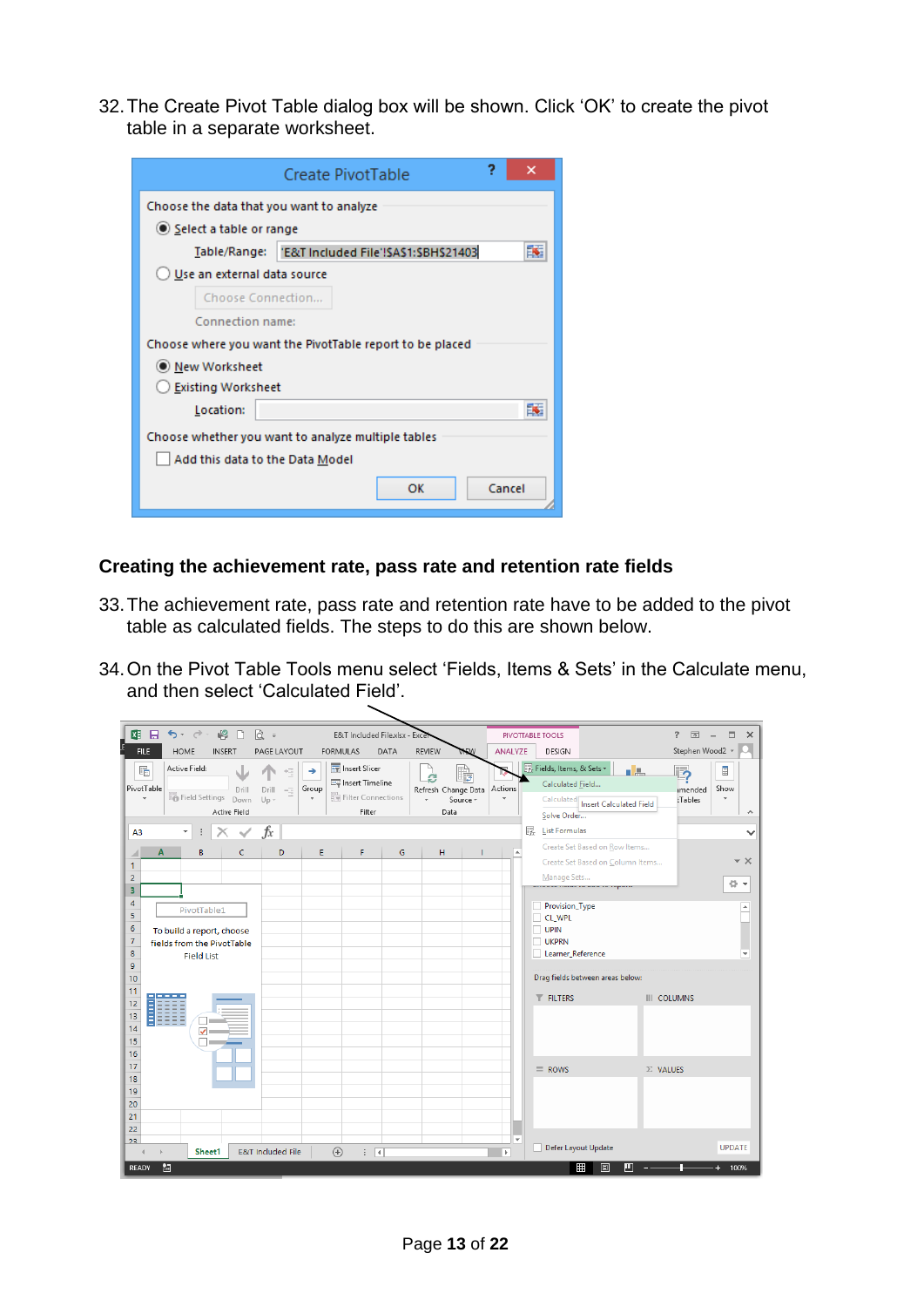32.The Create Pivot Table dialog box will be shown. Click 'OK' to create the pivot table in a separate worksheet.

|                                                    | 2<br>Create PivotTable                                   |  |  |  |  |  |  |  |
|----------------------------------------------------|----------------------------------------------------------|--|--|--|--|--|--|--|
| Choose the data that you want to analyze           |                                                          |  |  |  |  |  |  |  |
| Select a table or range                            |                                                          |  |  |  |  |  |  |  |
|                                                    | Table/Range:   'E&T Included File'!SAS1:SBHS21403        |  |  |  |  |  |  |  |
| Use an external data source                        |                                                          |  |  |  |  |  |  |  |
| Choose Connection                                  |                                                          |  |  |  |  |  |  |  |
| Connection name:                                   |                                                          |  |  |  |  |  |  |  |
|                                                    | Choose where you want the PivotTable report to be placed |  |  |  |  |  |  |  |
| O New Worksheet                                    |                                                          |  |  |  |  |  |  |  |
| Existing Worksheet                                 |                                                          |  |  |  |  |  |  |  |
| Location:                                          | 訴                                                        |  |  |  |  |  |  |  |
| Choose whether you want to analyze multiple tables |                                                          |  |  |  |  |  |  |  |
| Add this data to the Data Model                    |                                                          |  |  |  |  |  |  |  |
|                                                    | Cancel<br>OK                                             |  |  |  |  |  |  |  |

#### <span id="page-12-0"></span>**Creating the achievement rate, pass rate and retention rate fields**

- 33.The achievement rate, pass rate and retention rate have to be added to the pivot table as calculated fields. The steps to do this are shown below.
- 34.On the Pivot Table Tools menu select 'Fields, Items & Sets' in the Calculate menu, and then select 'Calculated Field'.

| 四日<br>$5 - 2 -$<br>$\mathbb{R}$<br>$\alpha$ =<br>$\Box$                                                                                                                                                                                                                                                    |                                                                                                           | E&T Included File.xlsx - Excel                      | PIVOTTABLE TOOLS                                                                                                                                                                                                                           | $\times$<br>困<br>2<br>□                                                                                                                                   |
|------------------------------------------------------------------------------------------------------------------------------------------------------------------------------------------------------------------------------------------------------------------------------------------------------------|-----------------------------------------------------------------------------------------------------------|-----------------------------------------------------|--------------------------------------------------------------------------------------------------------------------------------------------------------------------------------------------------------------------------------------------|-----------------------------------------------------------------------------------------------------------------------------------------------------------|
| <b>FILE</b><br><b>HOME</b><br>INSERT                                                                                                                                                                                                                                                                       | PAGE LAYOUT<br><b>FORMULAS</b>                                                                            | DATA<br><b>REVIEW</b><br><b>VIEW</b>                | ANALYZE<br>DESIGN                                                                                                                                                                                                                          | Stephen Wood2 *                                                                                                                                           |
| Active Field:<br>F.<br>PivotTable<br>Drill<br>Drill<br><b>Field Settings</b><br>$\overline{\phantom{a}}$<br>$Up -$<br>Down<br><b>Active Field</b>                                                                                                                                                          | IF Insert Slicer<br>恒<br>→<br><b>E</b> Insert Timeline<br>Group<br>$-\Xi$<br>Filter Connections<br>Filter | r,<br>C.<br>Refresh Change Data<br>Source *<br>Data | Fields, Items, & Sets *<br>Calculated Field<br>Actions<br>Calculated<br>Solve Order                                                                                                                                                        | كاه<br>$\overline{\mathbf{P}}$<br>$\blacksquare$<br>Show<br>imended<br>Tables<br><b>Insert Calculated Field</b>                                           |
| fx<br>$\overline{\phantom{a}}$<br>$\times$<br>✓<br>A <sub>3</sub><br>÷                                                                                                                                                                                                                                     |                                                                                                           |                                                     | <b>FR</b> List Formulas                                                                                                                                                                                                                    |                                                                                                                                                           |
| A<br>B<br>c<br>1<br>$\overline{2}$<br>3<br>4<br>PivotTable1<br>$\overline{\mathbf{5}}$<br>6<br>To build a report, choose<br>$\overline{7}$<br>fields from the PivotTable<br>8<br><b>Field List</b><br>9<br>10<br>11<br>İ<br>12<br>13<br>14<br>$\checkmark$<br>15<br>16<br>17<br>18<br>19<br>20<br>21<br>22 | D<br>Ε<br>F                                                                                               | G<br>H<br>п                                         | Create Set Based on Row Items<br>$\Delta$<br>Manage Sets<br>andar mar re and ce report<br>Provision_Type<br>CL_WPL<br>$\Box$ UPIN<br><b>UKPRN</b><br>Learner_Reference<br>Drag fields between areas below:<br>$T$ FILTERS<br>$\equiv$ ROWS | Create Set Based on Column Items<br>- x<br>츣<br>$\overline{\phantom{a}}$<br>$\Delta$<br>$\overline{\phantom{a}}$<br><b>III</b> COLUMNS<br>$\Sigma$ VALUES |
| 23<br><b>E&amp;T</b> Included File<br>Sheet1<br>雷<br><b>READY</b>                                                                                                                                                                                                                                          | $\bigoplus$<br>$\mathbb{E} \left[ \mathbb{R} \right]$                                                     |                                                     | $\overline{\mathbf{v}}$<br>Defer Layout Update<br>L.<br>$\mathbb F$<br>₩                                                                                                                                                                   | <b>UPDATE</b><br>圓<br>100%<br>ш                                                                                                                           |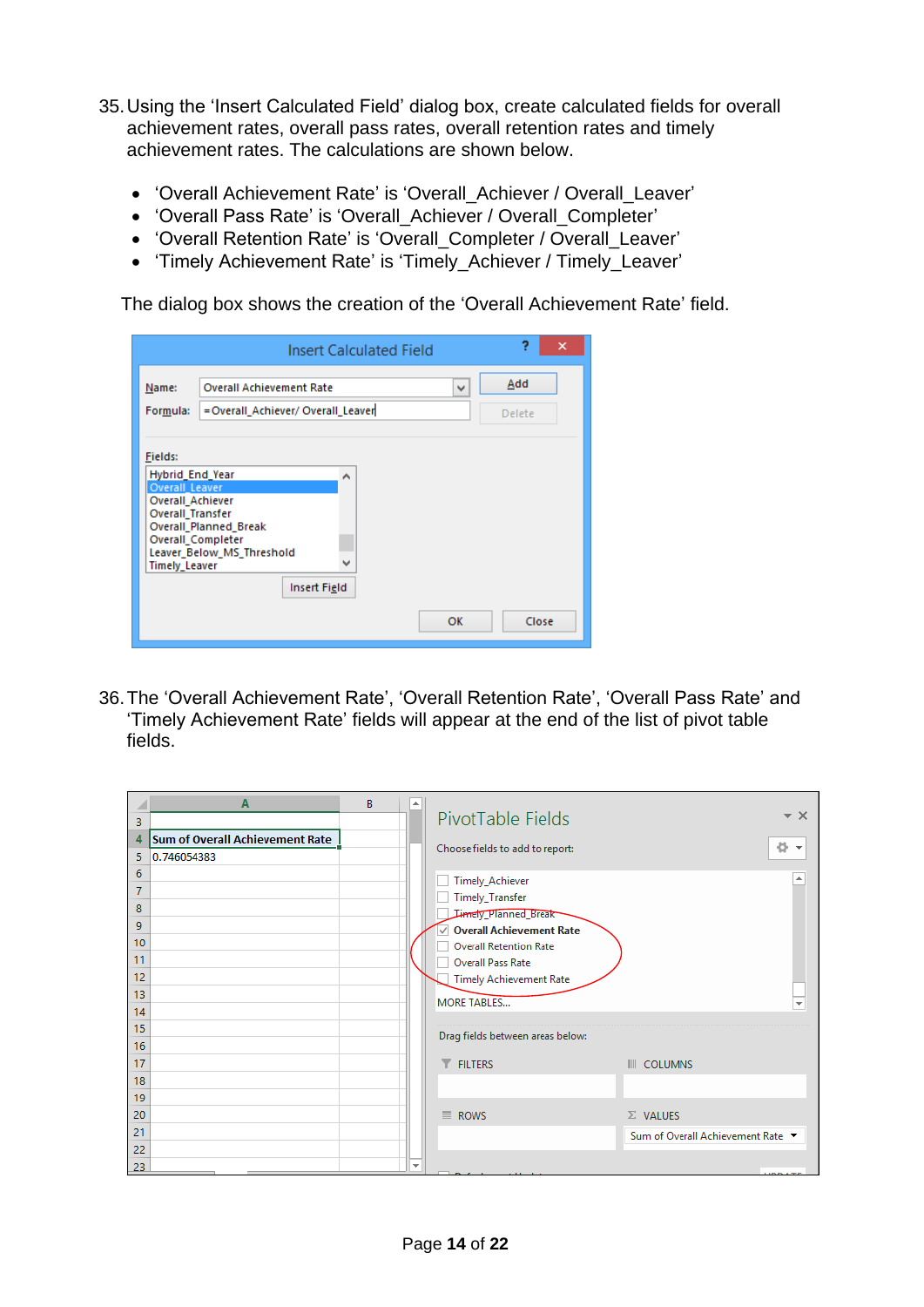- 35.Using the 'Insert Calculated Field' dialog box, create calculated fields for overall achievement rates, overall pass rates, overall retention rates and timely achievement rates. The calculations are shown below.
	- 'Overall Achievement Rate' is 'Overall\_Achiever / Overall\_Leaver'
	- 'Overall Pass Rate' is 'Overall\_Achiever / Overall\_Completer'
	- 'Overall Retention Rate' is 'Overall\_Completer / Overall\_Leaver'
	- 'Timely Achievement Rate' is 'Timely\_Achiever / Timely\_Leaver'

The dialog box shows the creation of the 'Overall Achievement Rate' field.

|                                                                                                                     |                                                                                                       | <b>Insert Calculated Field</b> |           | 2<br>× |  |
|---------------------------------------------------------------------------------------------------------------------|-------------------------------------------------------------------------------------------------------|--------------------------------|-----------|--------|--|
| Name:                                                                                                               | <b>Overall Achievement Rate</b>                                                                       |                                | v         | Add    |  |
| Formula:                                                                                                            | =Overall_Achiever/ Overall_Leaver                                                                     |                                | Delete    |        |  |
| Fields:<br>Hybrid_End_Year<br><b>Overall Leaver</b><br>Overall Achiever<br>Overall Transfer<br><b>Timely Leaver</b> | <b>Overall Planned Break</b><br>Overall_Completer<br>Leaver_Below_MS_Threshold<br><b>Insert Field</b> | ۸<br>$\checkmark$              |           |        |  |
|                                                                                                                     |                                                                                                       |                                | <b>OK</b> | Close  |  |

36.The 'Overall Achievement Rate', 'Overall Retention Rate', 'Overall Pass Rate' and 'Timely Achievement Rate' fields will appear at the end of the list of pivot table fields.

|                                           | $\mathbf{A}$                                          | B | ∸                        |                                                                                                                                                 |                                                      |
|-------------------------------------------|-------------------------------------------------------|---|--------------------------|-------------------------------------------------------------------------------------------------------------------------------------------------|------------------------------------------------------|
| 3                                         |                                                       |   |                          | PivotTable Fields                                                                                                                               | $\times$                                             |
| 4<br>5                                    | <b>Sum of Overall Achievement Rate</b><br>0.746054383 |   |                          | Choose fields to add to report:                                                                                                                 | ÷                                                    |
| 6<br>$\overline{7}$<br>8<br>9<br>10<br>11 |                                                       |   |                          | Timely_Achiever<br>Timely_Transfer<br>Limely_Planned_Break~<br>○ Overall Achievement Rate<br><b>Overall Retention Rate</b><br>Overall Pass Rate |                                                      |
| 12<br>13<br>14                            |                                                       |   |                          | <b>Timely Achievement Rate</b><br><b>MORE TABLES</b>                                                                                            |                                                      |
| 15<br>16                                  |                                                       |   |                          | Drag fields between areas below:                                                                                                                |                                                      |
| 17<br>18<br>19                            |                                                       |   |                          | <b>T</b> FILTERS                                                                                                                                | <b>III</b> COLUMNS                                   |
| 20<br>21                                  |                                                       |   |                          | $\equiv$ ROWS                                                                                                                                   | $\Sigma$ VALUES<br>Sum of Overall Achievement Rate ▼ |
| 22<br>23                                  |                                                       |   | $\overline{\phantom{a}}$ | Defect more thanks                                                                                                                              | <b>UDDATE</b>                                        |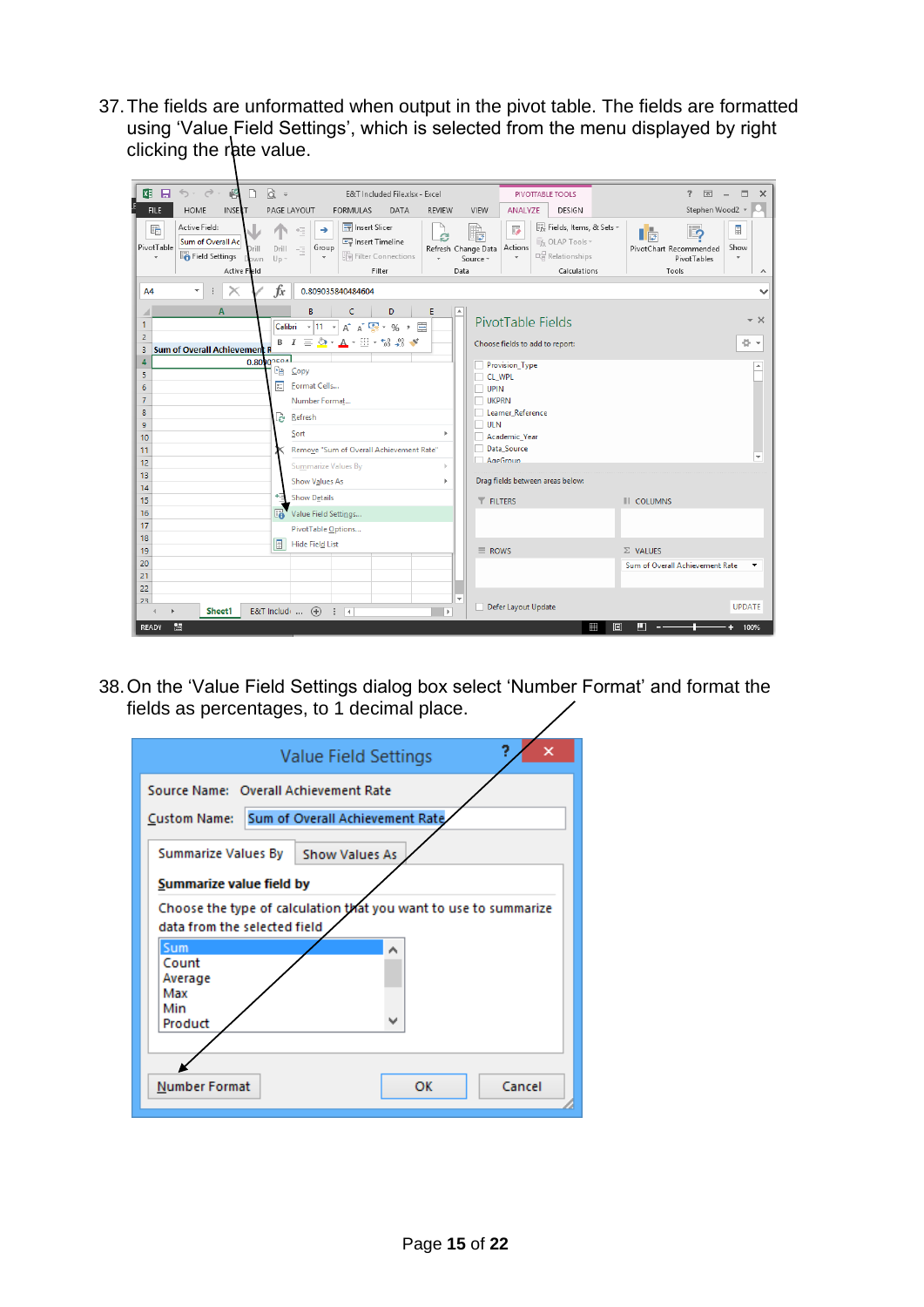37.The fields are unformatted when output in the pivot table. The fields are formatted using 'Value Field Settings', which is selected from the menu displayed by right clicking the rate value.

| $\alpha$ =<br>$5 - 6 -$<br><b>XH 日</b><br>鸣<br>$\Box$                                                                              | E&T Included File.xlsx - Excel                                                                                                                                              |                                              | <b>PIVOTTABLE TOOLS</b>                                                                                                                                              | 2                                                                       | 闲<br>$\Box$<br>$\times$<br>$\sim$                      |
|------------------------------------------------------------------------------------------------------------------------------------|-----------------------------------------------------------------------------------------------------------------------------------------------------------------------------|----------------------------------------------|----------------------------------------------------------------------------------------------------------------------------------------------------------------------|-------------------------------------------------------------------------|--------------------------------------------------------|
| <b>FILE</b><br>HOME<br><b>INSERT</b>                                                                                               | PAGE LAYOUT<br><b>FORMULAS</b><br>DATA                                                                                                                                      | <b>REVIEW</b><br>VIEW                        | ANALYZE<br>DESIGN                                                                                                                                                    |                                                                         | Stephen Wood2 *                                        |
| Active Field:<br>曘<br>Sum of Overall Ac<br>PivotTable<br>Drill<br><b>En</b> Field Settings<br>$\mathbf{v}$<br>Down<br>Active Fleld | Imsert Slicer<br>→<br>恒<br>Imert Timeline<br>Group<br>Drill<br>$-\overline{-}$<br>Filter Connections<br>$Up -$<br>Filter                                                    | e<br>Refresh Change Data<br>Source *<br>Data | Fx Fields, Items, & Sets v<br>i.<br>$\mathcal{L}_{f_{X}}$ OLAP Tools $\mathcal{L}_{Y}$<br>Actions<br>$E_{\overline{G}}^{\overline{G}}$ Relationships<br>Calculations | ြာ<br>$\mathbf{I}$ is<br>PivotChart Recommended<br>PivotTables<br>Tools | $\overline{\Xi}$<br>Show<br>÷<br>$\boldsymbol{\wedge}$ |
| $\times$<br>٠<br><b>A4</b>                                                                                                         | fx<br>0.809035840484604                                                                                                                                                     |                                              |                                                                                                                                                                      |                                                                         |                                                        |
| A<br>1<br>$\overline{2}$<br>Sum of Overall Achievement R<br>3                                                                      | B<br>D<br>c<br>Ε<br>$\mathbf{A} \times \mathbf{A}$ $\mathbf{C}$ + % + $\mathbf{C}$<br>Calibri<br>$-111$<br>$B$ $I \equiv \bigcirc f$ $A \cdot \Box \cdot M \cdot M \cdot M$ | e.                                           | PivotTable Fields<br>Choose fields to add to report:                                                                                                                 |                                                                         | – ×<br>준 ㅜ                                             |
| 0.80902524<br>4                                                                                                                    |                                                                                                                                                                             |                                              | Provision_Type                                                                                                                                                       |                                                                         |                                                        |
| 5                                                                                                                                  | <b>Light Copy</b>                                                                                                                                                           | CL WPL                                       |                                                                                                                                                                      |                                                                         |                                                        |
| $\boldsymbol{6}$                                                                                                                   | 丽<br>Format Cells                                                                                                                                                           | $\Box$ UPIN                                  |                                                                                                                                                                      |                                                                         |                                                        |
| $\overline{7}$                                                                                                                     | Number Format                                                                                                                                                               | <b>UKPRN</b>                                 |                                                                                                                                                                      |                                                                         |                                                        |
| 8                                                                                                                                  | <b>P</b><br>Refresh                                                                                                                                                         |                                              | Learner Reference                                                                                                                                                    |                                                                         |                                                        |
| 9                                                                                                                                  |                                                                                                                                                                             | $\Box$ ULN                                   |                                                                                                                                                                      |                                                                         |                                                        |
| 10                                                                                                                                 | Sort                                                                                                                                                                        | b.                                           | Academic_Year                                                                                                                                                        |                                                                         |                                                        |
| 11                                                                                                                                 | Remove "Sum of Overall Achievement Rate"                                                                                                                                    |                                              | Data Source                                                                                                                                                          |                                                                         |                                                        |
| 12                                                                                                                                 | Summarize Values By                                                                                                                                                         | $\Box$ AgeGroup                              |                                                                                                                                                                      |                                                                         |                                                        |
| 13                                                                                                                                 |                                                                                                                                                                             | b.                                           | Drag fields between areas below:                                                                                                                                     |                                                                         |                                                        |
| 14                                                                                                                                 | Show Values As                                                                                                                                                              |                                              |                                                                                                                                                                      |                                                                         |                                                        |
| 15                                                                                                                                 | 림<br><b>Show Details</b>                                                                                                                                                    | <b>T</b> FILTERS                             |                                                                                                                                                                      | <b>III</b> COLUMNS                                                      |                                                        |
| 16                                                                                                                                 | $\mathbb{F}$<br>Value Field Settings                                                                                                                                        |                                              |                                                                                                                                                                      |                                                                         |                                                        |
| 17                                                                                                                                 | PivotTable Options                                                                                                                                                          |                                              |                                                                                                                                                                      |                                                                         |                                                        |
| 18                                                                                                                                 | 凬<br>Hide Field List                                                                                                                                                        |                                              |                                                                                                                                                                      |                                                                         |                                                        |
| 19                                                                                                                                 |                                                                                                                                                                             | $\equiv$ ROWS                                |                                                                                                                                                                      | $\Sigma$ VALUES                                                         |                                                        |
| 20                                                                                                                                 |                                                                                                                                                                             |                                              |                                                                                                                                                                      | Sum of Overall Achievement Rate                                         |                                                        |
| 21                                                                                                                                 |                                                                                                                                                                             |                                              |                                                                                                                                                                      |                                                                         |                                                        |
| 22                                                                                                                                 |                                                                                                                                                                             |                                              |                                                                                                                                                                      |                                                                         |                                                        |
| 23<br>Sheet1                                                                                                                       | E&T Include $\ldots$ $(+)$<br>ा च                                                                                                                                           | $\overline{\mathbf{v}}$<br>[∌]               | Defer Layout Update                                                                                                                                                  |                                                                         | <b>UPDATE</b>                                          |
| 雷<br>READY                                                                                                                         |                                                                                                                                                                             |                                              |                                                                                                                                                                      | ₩<br>圓<br>л                                                             | 100%                                                   |

38.On the 'Value Field Settings dialog box select 'Number Format' and format the fields as percentages, to 1 decimal place.

| Value Field Settings                                                                                    |
|---------------------------------------------------------------------------------------------------------|
| Source Name: Overall Achievement Rate<br>Custom Name: Sum of Overall Achievement Rate                   |
| Summarize Values By<br><b>Show Values As</b>                                                            |
| Summarize value field by                                                                                |
| Choose the type of calculation that you want to use to summarize<br>data from the selected field<br>Sum |
| ۸<br>Count<br>Average<br>Max                                                                            |
| Min<br>v<br>Product                                                                                     |
| ОΚ<br>Cancel<br><b>Number Format</b>                                                                    |
|                                                                                                         |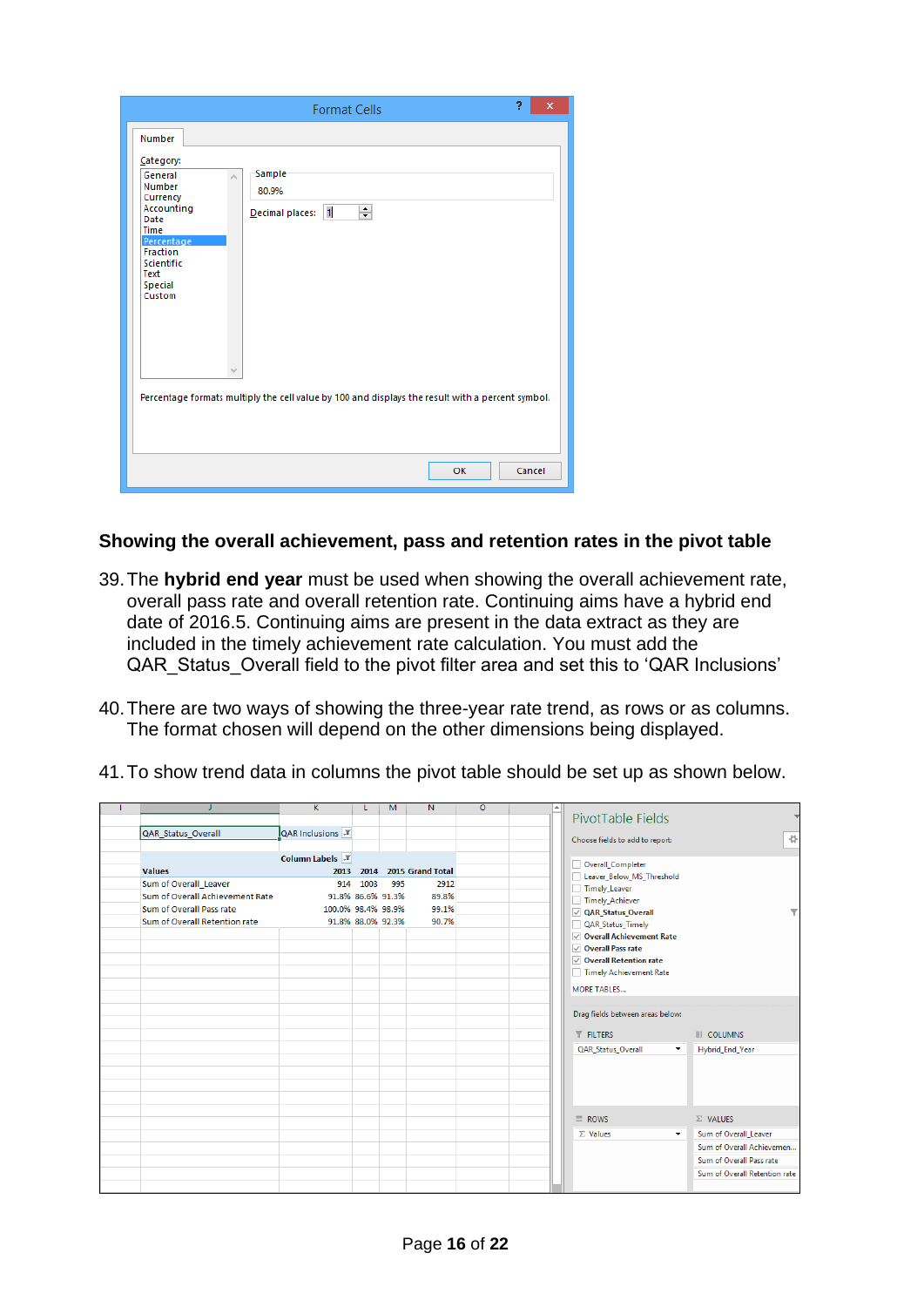| 9<br>×<br><b>Format Cells</b>                                                                                                                                                                                                    |
|----------------------------------------------------------------------------------------------------------------------------------------------------------------------------------------------------------------------------------|
| Number<br>Category:<br>Sample<br>General<br>Number<br>80.9%<br>Currency<br>Accounting<br>÷<br>$\overline{1}$<br>Decimal places:<br>Date<br><b>Time</b><br>Percentage<br>Fraction<br>Scientific<br>Text<br>Special<br>Custom<br>v |
| Percentage formats multiply the cell value by 100 and displays the result with a percent symbol.                                                                                                                                 |
| OK<br>Cancel                                                                                                                                                                                                                     |

<span id="page-15-0"></span>**Showing the overall achievement, pass and retention rates in the pivot table**

- 39.The **hybrid end year** must be used when showing the overall achievement rate, overall pass rate and overall retention rate. Continuing aims have a hybrid end date of 2016.5. Continuing aims are present in the data extract as they are included in the timely achievement rate calculation. You must add the QAR Status Overall field to the pivot filter area and set this to 'QAR Inclusions'
- 40.There are two ways of showing the three-year rate trend, as rows or as columns. The format chosen will depend on the other dimensions being displayed.
- 41.To show trend data in columns the pivot table should be set up as shown below.

|                                 | K.                              | L    | M                 | N                | $\circ$ | $\blacktriangle$ |                                             |                               |
|---------------------------------|---------------------------------|------|-------------------|------------------|---------|------------------|---------------------------------------------|-------------------------------|
|                                 |                                 |      |                   |                  |         |                  | PivotTable Fields                           |                               |
| QAR Status Overall              | $QAR$ Inclusions $\overline{r}$ |      |                   |                  |         |                  |                                             | 登                             |
|                                 |                                 |      |                   |                  |         |                  | Choose fields to add to report:             |                               |
|                                 | <b>Column Labels</b>            |      |                   |                  |         |                  | Overall_Completer                           |                               |
| <b>Values</b>                   | 2013                            | 2014 |                   | 2015 Grand Total |         |                  | Leaver_Below_MS_Threshold                   |                               |
| Sum of Overall_Leaver           | 914                             | 1003 | 995               | 2912             |         |                  | Timely_Leaver                               |                               |
| Sum of Overall Achievement Rate |                                 |      | 91.8% 86.6% 91.3% | 89.8%            |         |                  | Timely_Achiever                             |                               |
| Sum of Overall Pass rate        | 100.0% 98.4% 98.9%              |      |                   | 99.1%            |         |                  | ○ QAR Status Overall                        |                               |
| Sum of Overall Retention rate   |                                 |      | 91.8% 88.0% 92.3% | 90.7%            |         |                  | QAR_Status_Timely                           |                               |
|                                 |                                 |      |                   |                  |         |                  | ○ Overall Achievement Rate                  |                               |
|                                 |                                 |      |                   |                  |         |                  | $\triangledown$ Overall Pass rate           |                               |
|                                 |                                 |      |                   |                  |         |                  | ○ Overall Retention rate                    |                               |
|                                 |                                 |      |                   |                  |         |                  | Timely Achievement Rate                     |                               |
|                                 |                                 |      |                   |                  |         |                  | <b>MORE TABLES</b>                          |                               |
|                                 |                                 |      |                   |                  |         |                  |                                             |                               |
|                                 |                                 |      |                   |                  |         |                  | Drag fields between areas below:            |                               |
|                                 |                                 |      |                   |                  |         |                  |                                             |                               |
|                                 |                                 |      |                   |                  |         |                  | <b>T</b> FILTERS                            | <b>III</b> COLUMNS            |
|                                 |                                 |      |                   |                  |         |                  | QAR_Status_Overall<br>$\blacktriangledown$  | Hybrid_End_Year               |
|                                 |                                 |      |                   |                  |         |                  |                                             |                               |
|                                 |                                 |      |                   |                  |         |                  |                                             |                               |
|                                 |                                 |      |                   |                  |         |                  |                                             |                               |
|                                 |                                 |      |                   |                  |         |                  |                                             |                               |
|                                 |                                 |      |                   |                  |         |                  | $\equiv$ ROWS                               | $\Sigma$ VALUES               |
|                                 |                                 |      |                   |                  |         |                  | $\Sigma$ Values<br>$\overline{\phantom{a}}$ | Sum of Overall Leaver         |
|                                 |                                 |      |                   |                  |         |                  |                                             | Sum of Overall Achievemen     |
|                                 |                                 |      |                   |                  |         |                  |                                             |                               |
|                                 |                                 |      |                   |                  |         |                  |                                             | Sum of Overall Pass rate      |
|                                 |                                 |      |                   |                  |         |                  |                                             | Sum of Overall Retention rate |
|                                 |                                 |      |                   |                  |         |                  |                                             |                               |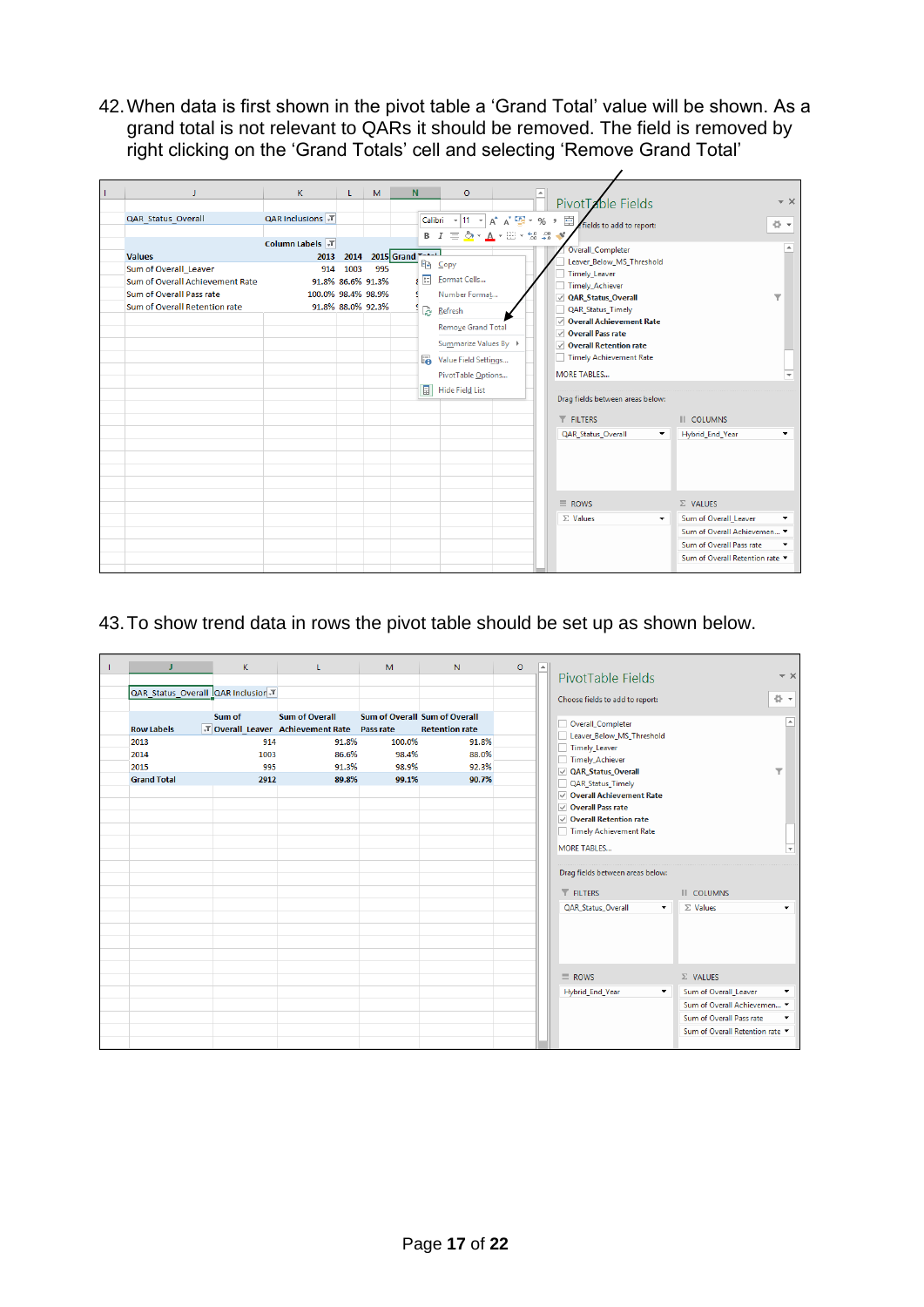42.When data is first shown in the pivot table a 'Grand Total' value will be shown. As a grand total is not relevant to QARs it should be removed. The field is removed by right clicking on the 'Grand Totals' cell and selecting 'Remove Grand Total'

| п                                                         | K.                 | L.           | M                 | N                | $\circ$                                                                                                                  | PivotTable Fields                                         |                          |                                                         | $- \times$              |
|-----------------------------------------------------------|--------------------|--------------|-------------------|------------------|--------------------------------------------------------------------------------------------------------------------------|-----------------------------------------------------------|--------------------------|---------------------------------------------------------|-------------------------|
| QAR_Status_Overall                                        | QAR Inclusions J   |              |                   |                  | Calibri $\rightarrow$ 11 $\rightarrow$ $A^*$ $A^*$ $\rightarrow$ $\rightarrow$ $\rightarrow$ $\rightarrow$ $\rightarrow$ | fields to add to report:                                  |                          |                                                         | 骨、                      |
|                                                           | Column Labels JT   |              |                   |                  | $B$ $I \equiv \bigcirc \rightarrow A \rightarrow \Box \rightarrow \land \land \land \land \land$                         | Overall_Completer                                         |                          |                                                         | $\blacktriangle$        |
| <b>Values</b><br>Sum of Overall Leaver                    | 2013<br>914        | 2014<br>1003 | 995               | 2015 Grand T-A-1 | le Copy                                                                                                                  | Leaver Below MS Threshold<br>Timely_Leaver                |                          |                                                         |                         |
| Sum of Overall Achievement Rate                           |                    |              | 91.8% 86.6% 91.3% |                  | <b>Eormat Cells</b>                                                                                                      | Timely Achiever                                           |                          |                                                         |                         |
| Sum of Overall Pass rate<br>Sum of Overall Retention rate | 100.0% 98.4% 98.9% |              | 91.8% 88.0% 92.3% |                  | Number Format<br>Refresh                                                                                                 | QAR_Status_Overall<br>QAR_Status_Timely                   |                          |                                                         | $\overline{\mathbf{v}}$ |
|                                                           |                    |              |                   |                  | Remove Grand Total                                                                                                       | ○ Overall Achievement Rate                                |                          |                                                         |                         |
|                                                           |                    |              |                   |                  | Summarize Values By ▶                                                                                                    | $\vee$ Overall Pass rate<br>$\vee$ Overall Retention rate |                          |                                                         |                         |
|                                                           |                    |              |                   | u.               | Value Field Settings                                                                                                     | Timely Achievement Rate                                   |                          |                                                         |                         |
|                                                           |                    |              |                   | T                | PivotTable Options<br>Hide Field List                                                                                    | <b>MORE TABLES</b>                                        |                          |                                                         |                         |
|                                                           |                    |              |                   |                  |                                                                                                                          | Drag fields between areas below:                          |                          |                                                         |                         |
|                                                           |                    |              |                   |                  |                                                                                                                          | <b>T</b> FILTERS                                          |                          | <b>III</b> COLUMNS                                      |                         |
|                                                           |                    |              |                   |                  |                                                                                                                          | QAR_Status_Overall                                        | $\overline{\phantom{a}}$ | Hybrid_End_Year                                         |                         |
|                                                           |                    |              |                   |                  |                                                                                                                          |                                                           |                          |                                                         |                         |
|                                                           |                    |              |                   |                  |                                                                                                                          |                                                           |                          |                                                         |                         |
|                                                           |                    |              |                   |                  |                                                                                                                          | $\equiv$ ROWS                                             |                          | $\Sigma$ VALUES                                         |                         |
|                                                           |                    |              |                   |                  |                                                                                                                          | $\Sigma$ Values                                           | $\overline{\phantom{a}}$ | Sum of Overall Leaver                                   |                         |
|                                                           |                    |              |                   |                  |                                                                                                                          |                                                           |                          | Sum of Overall Achievemen ▼<br>Sum of Overall Pass rate |                         |
|                                                           |                    |              |                   |                  |                                                                                                                          |                                                           |                          | Sum of Overall Retention rate                           |                         |
|                                                           |                    |              |                   |                  |                                                                                                                          |                                                           |                          |                                                         |                         |

## 43.To show trend data in rows the pivot table should be set up as shown below.

|                                  | K.     | L                                           | M                             | N                     | $\circ$ | $\overline{a}$ |                                            |                                 |
|----------------------------------|--------|---------------------------------------------|-------------------------------|-----------------------|---------|----------------|--------------------------------------------|---------------------------------|
|                                  |        |                                             |                               |                       |         |                | PivotTable Fields                          | $- \times$                      |
| QAR Status Overall QAR Inclusion |        |                                             |                               |                       |         |                | Choose fields to add to report:            | 谷一                              |
|                                  |        |                                             |                               |                       |         |                |                                            |                                 |
|                                  | Sum of | <b>Sum of Overall</b>                       | Sum of Overall Sum of Overall |                       |         |                | Overall_Completer                          |                                 |
| <b>Row Labels</b>                |        | T Overall Leaver Achievement Rate Pass rate |                               | <b>Retention rate</b> |         |                | Leaver_Below_MS_Threshold                  |                                 |
| 2013                             | 914    | 91.8%                                       | 100.0%                        | 91.8%                 |         |                | Timely_Leaver                              |                                 |
| 2014                             | 1003   | 86.6%                                       | 98.4%                         | 88.0%                 |         |                | Timely_Achiever                            |                                 |
| 2015                             | 995    | 91.3%                                       | 98.9%                         | 92.3%                 |         |                | √ QAR_Status_Overall                       | ▼                               |
| <b>Grand Total</b>               | 2912   | 89.8%                                       | 99.1%                         | 90.7%                 |         |                | QAR_Status_Timely<br>H                     |                                 |
|                                  |        |                                             |                               |                       |         |                | ○ Overall Achievement Rate                 |                                 |
|                                  |        |                                             |                               |                       |         |                | $\vee$ Overall Pass rate                   |                                 |
|                                  |        |                                             |                               |                       |         |                | ○ Overall Retention rate                   |                                 |
|                                  |        |                                             |                               |                       |         |                | Timely Achievement Rate                    |                                 |
|                                  |        |                                             |                               |                       |         |                | <b>MORE TABLES</b>                         | ≂                               |
|                                  |        |                                             |                               |                       |         |                |                                            |                                 |
|                                  |        |                                             |                               |                       |         |                | Drag fields between areas below:           |                                 |
|                                  |        |                                             |                               |                       |         |                | $T$ FILTERS                                | <b>III</b> COLUMNS              |
|                                  |        |                                             |                               |                       |         |                | QAR_Status_Overall<br>$\blacktriangledown$ | $\Sigma$ Values<br>۰            |
|                                  |        |                                             |                               |                       |         |                |                                            |                                 |
|                                  |        |                                             |                               |                       |         |                |                                            |                                 |
|                                  |        |                                             |                               |                       |         |                |                                            |                                 |
|                                  |        |                                             |                               |                       |         |                |                                            |                                 |
|                                  |        |                                             |                               |                       |         |                | $\equiv$ ROWS                              | $\Sigma$ VALUES                 |
|                                  |        |                                             |                               |                       |         |                | Hybrid_End_Year<br>$\blacktriangledown$    | Sum of Overall_Leaver           |
|                                  |        |                                             |                               |                       |         |                |                                            | Sum of Overall Achievemen ▼     |
|                                  |        |                                             |                               |                       |         |                |                                            | Sum of Overall Pass rate        |
|                                  |        |                                             |                               |                       |         |                |                                            | Sum of Overall Retention rate ▼ |
|                                  |        |                                             |                               |                       |         |                |                                            |                                 |
|                                  |        |                                             |                               |                       |         |                |                                            |                                 |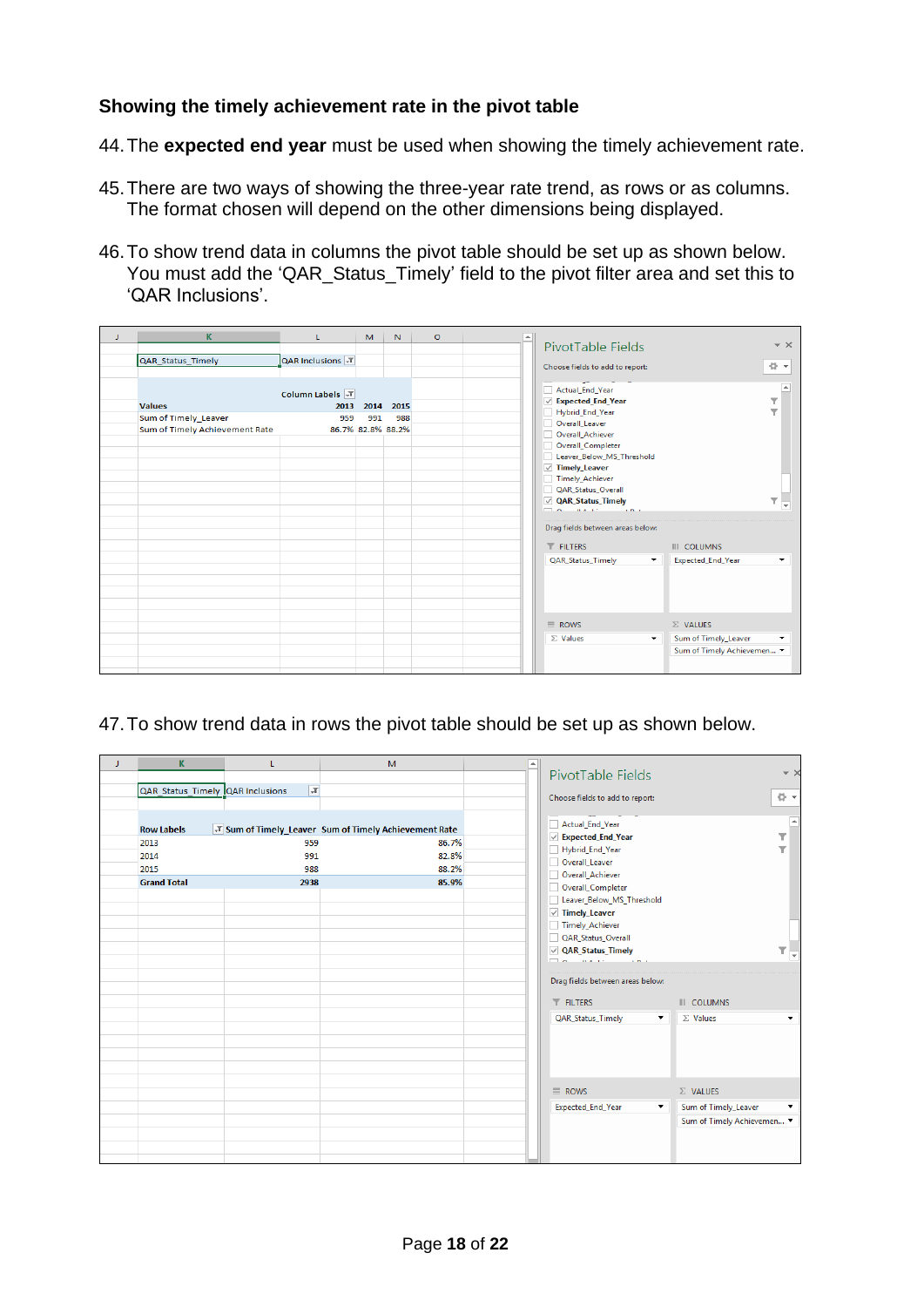#### <span id="page-17-0"></span>**Showing the timely achievement rate in the pivot table**

44.The **expected end year** must be used when showing the timely achievement rate.

- 45.There are two ways of showing the three-year rate trend, as rows or as columns. The format chosen will depend on the other dimensions being displayed.
- 46.To show trend data in columns the pivot table should be set up as shown below. You must add the 'QAR\_Status\_Timely' field to the pivot filter area and set this to 'QAR Inclusions'.

| J. | K                              | L                      | M   | N                 | $\circ$ |  |                                         |                            |                         |
|----|--------------------------------|------------------------|-----|-------------------|---------|--|-----------------------------------------|----------------------------|-------------------------|
|    |                                |                        |     |                   |         |  | PivotTable Fields                       |                            | $\sim \times$           |
|    | QAR Status Timely              | QAR Inclusions T       |     |                   |         |  | Choose fields to add to report:         |                            | 감                       |
|    |                                |                        |     |                   |         |  |                                         |                            |                         |
|    |                                | <b>Column Labels T</b> |     |                   |         |  | Actual End Year<br>○ Expected_End_Year  |                            | l es<br>۳               |
|    | <b>Values</b>                  |                        |     | 2013 2014 2015    |         |  | Hybrid_End_Year                         |                            | $\overline{\mathbf{v}}$ |
|    | Sum of Timely Leaver           | 959                    | 991 | 988               |         |  | Overall Leaver                          |                            |                         |
|    | Sum of Timely Achievement Rate |                        |     | 86.7% 82.8% 88.2% |         |  | Overall Achiever                        |                            |                         |
|    |                                |                        |     |                   |         |  | Overall_Completer                       |                            |                         |
|    |                                |                        |     |                   |         |  | Leaver Below MS Threshold               |                            |                         |
|    |                                |                        |     |                   |         |  | $\sqrt{ }$ Timely Leaver                |                            |                         |
|    |                                |                        |     |                   |         |  | Timely Achiever                         |                            |                         |
|    |                                |                        |     |                   |         |  | QAR_Status_Overall                      |                            |                         |
|    |                                |                        |     |                   |         |  | ○ QAR_Status_Timely<br>man aware they   |                            | ▼<br>÷                  |
|    |                                |                        |     |                   |         |  |                                         |                            |                         |
|    |                                |                        |     |                   |         |  | Drag fields between areas below:        |                            |                         |
|    |                                |                        |     |                   |         |  | <b>T</b> FILTERS                        | <b>III</b> COLUMNS         |                         |
|    |                                |                        |     |                   |         |  | QAR_Status_Timely<br>▼                  | Expected_End_Year          | ۰                       |
|    |                                |                        |     |                   |         |  |                                         |                            |                         |
|    |                                |                        |     |                   |         |  |                                         |                            |                         |
|    |                                |                        |     |                   |         |  |                                         |                            |                         |
|    |                                |                        |     |                   |         |  |                                         |                            |                         |
|    |                                |                        |     |                   |         |  | $\equiv$ ROWS                           | $\Sigma$ VALUES            |                         |
|    |                                |                        |     |                   |         |  | $\Sigma$ Values<br>$\blacktriangledown$ | Sum of Timely_Leaver       | $\blacktriangledown$    |
|    |                                |                        |     |                   |         |  |                                         | Sum of Timely Achievemen ▼ |                         |
|    |                                |                        |     |                   |         |  |                                         |                            |                         |
|    |                                |                        |     |                   |         |  |                                         |                            |                         |

47.To show trend data in rows the pivot table should be set up as shown below.

| J | K                                | L       | M                                                     | LA. |                                               |                                              |
|---|----------------------------------|---------|-------------------------------------------------------|-----|-----------------------------------------------|----------------------------------------------|
|   |                                  |         |                                                       |     | PivotTable Fields                             | $- \times$                                   |
|   | QAR Status Timely QAR Inclusions | $ \pi $ |                                                       |     | Choose fields to add to report:               | 를 보                                          |
|   |                                  |         |                                                       |     |                                               |                                              |
|   | <b>Row Labels</b>                |         | T Sum of Timely_Leaver Sum of Timely Achievement Rate |     | Actual_End_Year                               | E                                            |
|   | 2013                             | 959     | 86.7%                                                 |     | $\vee$ Expected_End_Year                      | T                                            |
|   | 2014                             | 991     | 82.8%                                                 |     | Hybrid_End_Year                               | ▼                                            |
|   | 2015                             | 988     | 88.2%                                                 |     | Overall_Leaver                                |                                              |
|   | <b>Grand Total</b>               | 2938    | 85.9%                                                 |     | Overall_Achiever<br>Overall_Completer         |                                              |
|   |                                  |         |                                                       |     | Leaver_Below_MS_Threshold                     |                                              |
|   |                                  |         |                                                       |     | $\vee$ Timely_Leaver                          |                                              |
|   |                                  |         |                                                       |     | Timely_Achiever                               |                                              |
|   |                                  |         |                                                       |     | QAR_Status_Overall                            |                                              |
|   |                                  |         |                                                       |     | <b>√ QAR_Status_Timely</b>                    | $\mathbb{E}$ ,                               |
|   |                                  |         |                                                       |     |                                               |                                              |
|   |                                  |         |                                                       |     | Drag fields between areas below:              |                                              |
|   |                                  |         |                                                       |     | $T$ FILTERS                                   | <b>III</b> COLUMNS                           |
|   |                                  |         |                                                       |     | QAR_Status_Timely<br>$\overline{\phantom{a}}$ | $\Sigma$ Values<br>۰                         |
|   |                                  |         |                                                       |     |                                               |                                              |
|   |                                  |         |                                                       |     |                                               |                                              |
|   |                                  |         |                                                       |     |                                               |                                              |
|   |                                  |         |                                                       |     |                                               |                                              |
|   |                                  |         |                                                       |     | $\equiv$ ROWS                                 | $\Sigma$ VALUES                              |
|   |                                  |         |                                                       |     | Expected_End_Year<br>$\blacktriangledown$     | Sum of Timely_Leaver<br>$\blacktriangledown$ |
|   |                                  |         |                                                       |     |                                               | Sum of Timely Achievemen ▼                   |
|   |                                  |         |                                                       |     |                                               |                                              |
|   |                                  |         |                                                       |     |                                               |                                              |
|   |                                  |         |                                                       |     |                                               |                                              |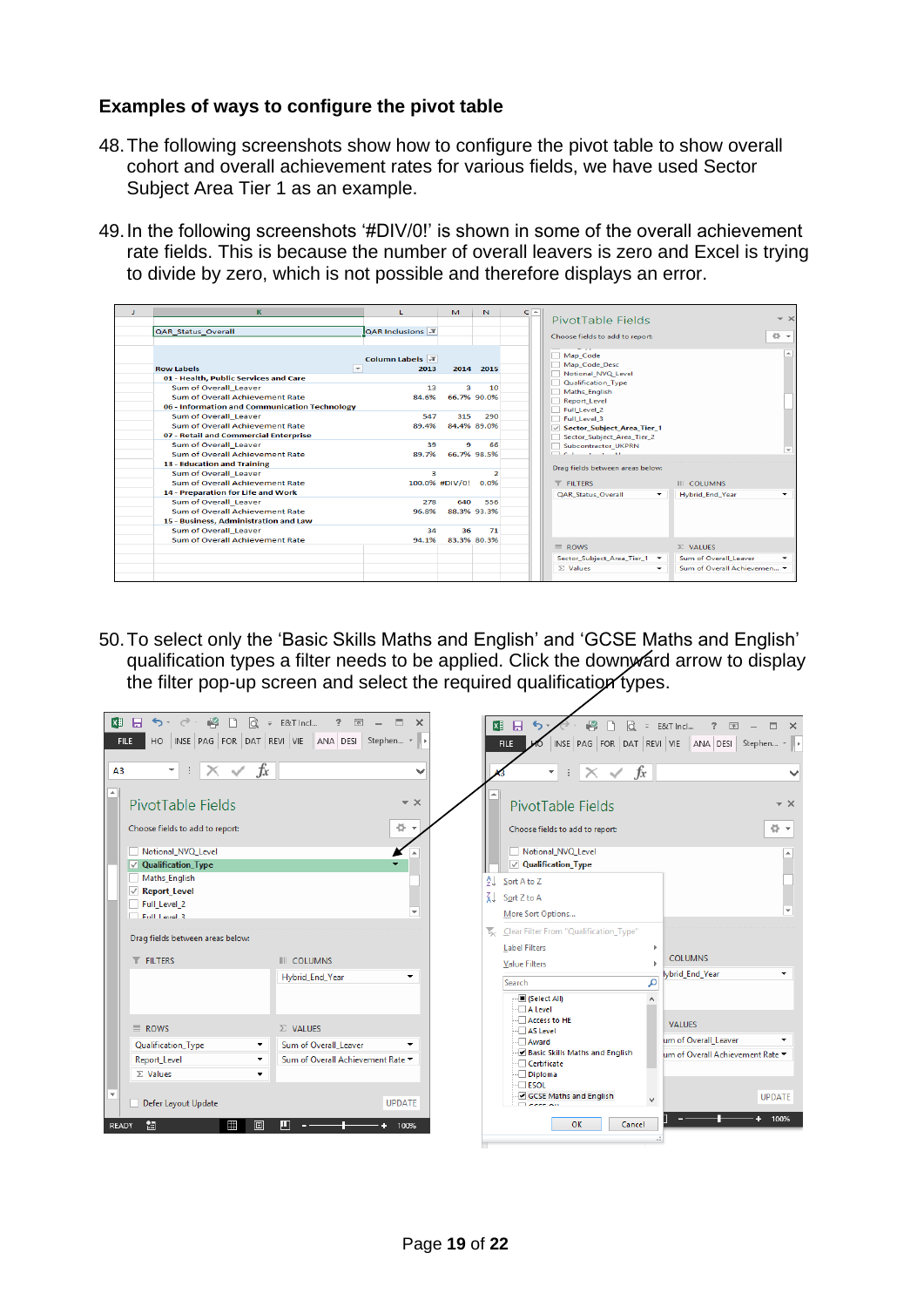#### <span id="page-18-0"></span>**Examples of ways to configure the pivot table**

- 48.The following screenshots show how to configure the pivot table to show overall cohort and overall achievement rates for various fields, we have used Sector Subject Area Tier 1 as an example.
- 49.In the following screenshots '#DIV/0!' is shown in some of the overall achievement rate fields. This is because the number of overall leavers is zero and Excel is trying to divide by zero, which is not possible and therefore displays an error.

| ĸ                                             |                        | M                       | N.               | $C -$ |                                           |                             |            |
|-----------------------------------------------|------------------------|-------------------------|------------------|-------|-------------------------------------------|-----------------------------|------------|
|                                               |                        |                         |                  |       | PivotTable Fields                         |                             | $- \times$ |
| QAR_Status_Overall                            | <b>QAR Inclusions</b>  |                         |                  |       |                                           |                             |            |
|                                               |                        |                         |                  |       | Choose fields to add to report:           |                             | 骨一         |
|                                               |                        |                         |                  |       |                                           |                             |            |
|                                               | <b>Column Labels</b> J |                         |                  |       | Map Code                                  |                             | A.         |
| $\rightarrow$<br><b>Row Labels</b>            | 2013                   |                         | 2014 2015        |       | Map Code Desc                             |                             |            |
| 01 - Health, Public Services and Care         |                        |                         |                  |       | Notional NVQ Level                        |                             |            |
| Sum of Overall Leaver                         | 13                     | $\overline{\mathbf{a}}$ | 10 <sup>10</sup> |       | Qualification Type                        |                             |            |
| Sum of Overall Achievement Rate               | 84.6%                  |                         | 66.7% 90.0%      |       | Maths English<br>Report Level             |                             |            |
| 06 - Information and Communication Technology |                        |                         |                  |       | Full Level 2                              |                             |            |
| Sum of Overall Leaver                         | 547                    | 315                     | 290              |       | Full Level 3                              |                             |            |
| Sum of Overall Achievement Rate               | 89.4%                  |                         | 84.4% 89.0%      |       | Sector_Subject_Area_Tier_1                |                             |            |
| 07 - Retail and Commercial Enterprise         |                        |                         |                  |       | Sector Subject Area Tier 2                |                             |            |
| Sum of Overall Leaver                         | 39                     | 9                       | 66               |       | Subcontractor_UKPRN                       |                             |            |
| Sum of Overall Achievement Rate               | 89.7%                  |                         | 66.7% 98.5%      |       | more and the second second                |                             | $-1$       |
| 13 - Education and Training                   |                        |                         |                  |       | Drag fields between areas below:          |                             |            |
| Sum of Overall Leaver                         | 3                      |                         |                  |       |                                           |                             |            |
| Sum of Overall Achievement Rate               |                        | 100.0% #DIV/0! 0.0%     |                  |       | <b>T</b> FILTERS                          | <b>III</b> COLUMNS          |            |
| 14 - Preparation for Life and Work            |                        |                         |                  |       | <b>QAR_Status_Overall</b><br>$\checkmark$ | <b>Hybrid End Year</b>      |            |
| Sum of Overall Leaver                         | 278                    | 640                     | 556              |       |                                           |                             |            |
| Sum of Overall Achievement Rate               | 96.8%                  |                         | 88.3% 93.3%      |       |                                           |                             |            |
| 15 - Business, Administration and Law         |                        |                         |                  |       |                                           |                             |            |
| Sum of Overall Leaver                         | 34                     | 36                      | 71               |       |                                           |                             |            |
| Sum of Overall Achievement Rate               | 94.1%                  |                         | 83.3% 80.3%      |       |                                           |                             |            |
|                                               |                        |                         |                  |       | $\equiv$ ROWS                             | $\Sigma$ VALUES             |            |
|                                               |                        |                         |                  |       | Sector Subject Area Tier 1 -              | Sum of Overall Leaver       |            |
|                                               |                        |                         |                  |       | $\Sigma$ Values                           | Sum of Overall Achievemen ▼ |            |
|                                               |                        |                         |                  |       |                                           |                             |            |

50.To select only the 'Basic Skills Maths and English' and 'GCSE Maths and English' qualification types a filter needs to be applied. Click the downward arrow to display the filter pop-up screen and select the required qualification types.

| x  | $\mathbb{R}$<br>$5 - 2 -$<br>$\Box$<br>日                                                                                                                                                                                                | $Q = E8T$ Incl<br>$\Box$<br>$? \quad \boxed{2} \quad -$<br>$\times$                                                     | 粤<br>如日<br><b>R</b><br>$\overline{z}$ E&T Incl                                                                                                                                                                                                                                                                                                                                               | $2 -$<br>$\boxed{\triangle}$<br>$\mathbf{x}$<br>$\Box$                            |
|----|-----------------------------------------------------------------------------------------------------------------------------------------------------------------------------------------------------------------------------------------|-------------------------------------------------------------------------------------------------------------------------|----------------------------------------------------------------------------------------------------------------------------------------------------------------------------------------------------------------------------------------------------------------------------------------------------------------------------------------------------------------------------------------------|-----------------------------------------------------------------------------------|
|    | <b>FILE</b>                                                                                                                                                                                                                             | HO INSE PAG FOR DAT REVI VIE ANA DESI Stephen *                                                                         | INSE PAG FOR DAT REVI VIE ANA DESI Stephen -<br><b>FILE</b>                                                                                                                                                                                                                                                                                                                                  |                                                                                   |
| A3 | $\cdot$ : $\times \check{f}$                                                                                                                                                                                                            | $\checkmark$                                                                                                            | $\times \checkmark$ fx<br>▼.<br>$\pm$                                                                                                                                                                                                                                                                                                                                                        |                                                                                   |
|    | PivotTable Fields<br>Choose fields to add to report:<br>Notional NVQ Level<br>$\vee$ Qualification Type<br>Maths_English<br>$\vee$ Report_Level<br>Full_Level_2<br>Full Level 3<br>Drag fields between areas below:<br><b>T</b> FILTERS | $\sim \times$<br>츣<br>$\overline{\mathbf{v}}$<br>$\overline{\phantom{a}}$<br><b>III</b> COLUMNS<br>Hybrid_End_Year<br>۰ | PivotTable Fields<br>Choose fields to add to report:<br>Notional_NVQ_Level<br>$\vee$ Qualification Type<br>θl<br>Sort A to Z<br>$\frac{7}{4}$ Sort Z to A<br>More Sort Options<br>$\overline{\mathbf{K}}$<br>Clear Filter From "Qualification_Type"<br><b>Label Filters</b><br>Þ.<br><b>COLUMNS</b><br><b>Value Filters</b><br>lybrid End Year<br>م<br>Search<br>$\blacksquare$ (Select All) | $\sim$ $\times$<br>骨下                                                             |
|    | $\equiv$ ROWS<br>Qualification_Type<br>▼<br>Report_Level<br>▼<br>$\Sigma$ Values<br>۰<br>Defer Layout Update<br>雷<br>H<br><b>READY</b><br>间                                                                                             | $\Sigma$ VALUES<br>Sum of Overall_Leaver<br>Sum of Overall Achievement Rate ▼<br><b>UPDATE</b><br>ш<br>100%             | $\Box$ A Level<br>$\Box$ Access to HE<br><b>VALUES</b><br>$\Box$ AS Level<br>$\Box$ Award<br>Basic Skills Maths and English<br>$\Box$ Certificate<br>$\Box$ Diploma<br>$\Box$ ESOL<br>GCSE Maths and English<br>OK<br>Cancel                                                                                                                                                                 | um of Overall_Leaver<br>um of Overall Achievement Rate ▼<br><b>UPDATE</b><br>100% |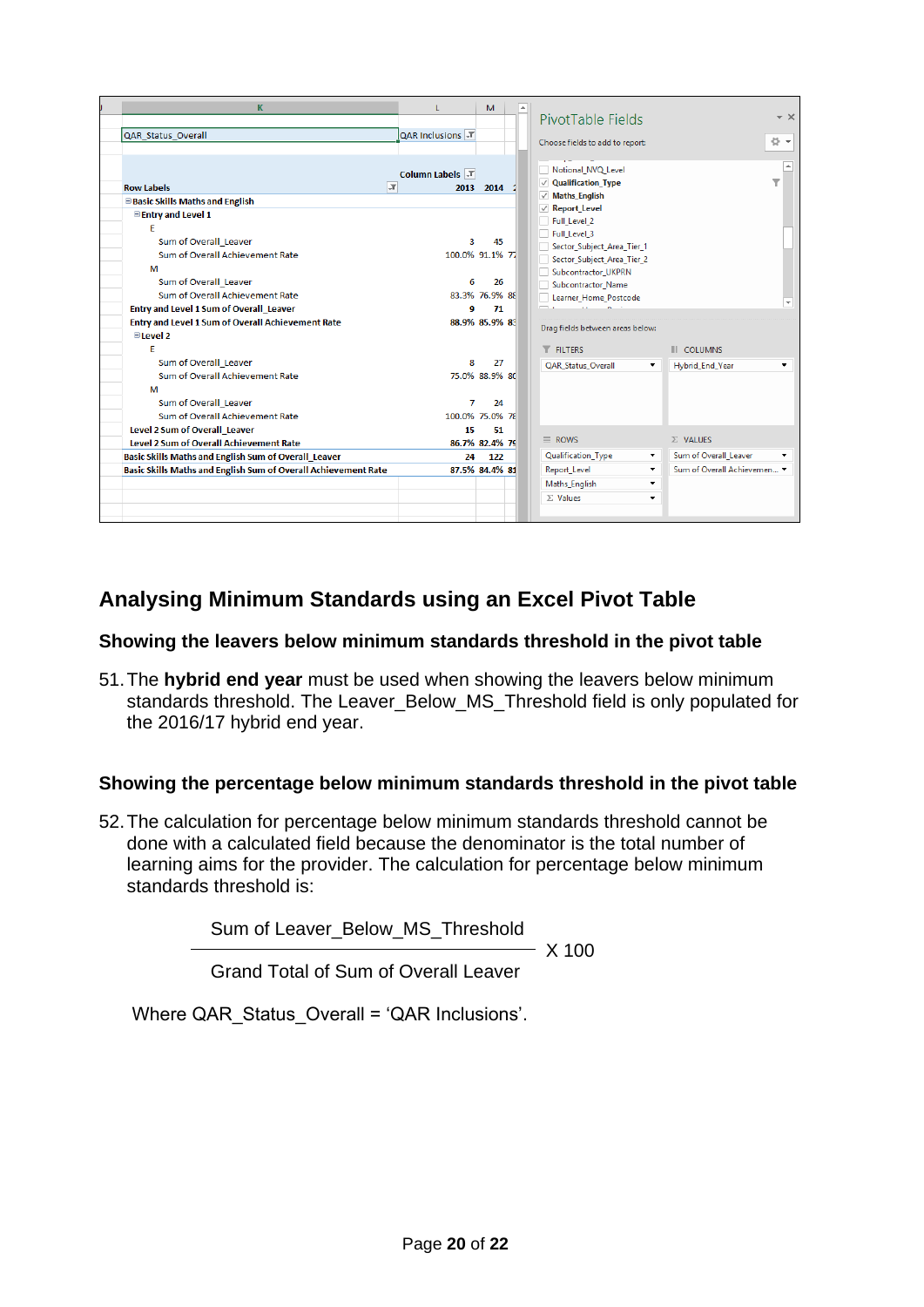| K                                                                                                      | $\mathbf{L}$                     | M                           | PivotTable Fields                                                                                               |                                                           |                                              | $- \times$ |
|--------------------------------------------------------------------------------------------------------|----------------------------------|-----------------------------|-----------------------------------------------------------------------------------------------------------------|-----------------------------------------------------------|----------------------------------------------|------------|
| QAR Status Overall                                                                                     | QAR Inclusions T                 |                             | Choose fields to add to report:                                                                                 |                                                           |                                              | 를 보        |
| <b>Row Labels</b><br><b>E</b> Basic Skills Maths and English                                           | Column Labels \T<br>$\mathbf{r}$ | 2013 2014                   | Notional NVQ Level<br>$\vee$ Qualification Type<br>$\vee$ Maths English<br>√ Report_Level                       |                                                           |                                              | ۳          |
| <b>Electry and Level 1</b><br>F<br>Sum of Overall Leaver<br>Sum of Overall Achievement Rate<br>м       | 3                                | 45<br>100.0% 91.1% 77       | Full_Level_2<br>Full_Level_3<br>Sector_Subject_Area_Tier_1<br>Sector_Subject_Area_Tier_2<br>Subcontractor UKPRN |                                                           |                                              |            |
| Sum of Overall Leaver<br>Sum of Overall Achievement Rate<br>Entry and Level 1 Sum of Overall Leaver    | 6<br>9                           | 26<br>83.3% 76.9% 88<br>71  | Subcontractor Name<br>Learner_Home_Postcode                                                                     |                                                           |                                              |            |
| Entry and Level 1 Sum of Overall Achievement Rate<br><b>Elevel 2</b>                                   |                                  | 88.9% 85.9% 83              | Drag fields between areas below:                                                                                |                                                           |                                              |            |
| E<br>Sum of Overall Leaver<br>Sum of Overall Achievement Rate<br>м                                     | 8                                | 27<br>75.0% 88.9% 80        | <b>T</b> FILTERS<br>QAR_Status_Overall                                                                          | $\blacktriangledown$                                      | <b>III</b> COLUMNS<br><b>Hybrid End Year</b> |            |
| Sum of Overall Leaver<br>Sum of Overall Achievement Rate<br>Level 2 Sum of Overall Leaver              | 7<br>15                          | 24<br>100.0% 75.0% 78<br>51 |                                                                                                                 |                                                           |                                              |            |
| <b>Level 2 Sum of Overall Achievement Rate</b><br>Basic Skills Maths and English Sum of Overall Leaver | 24                               | 86.7% 82.4% 79<br>122       | $\equiv$ ROWS<br>Qualification_Type                                                                             | $\blacktriangledown$                                      | $\Sigma$ VALUES<br>Sum of Overall Leaver     |            |
| Basic Skills Maths and English Sum of Overall Achievement Rate                                         |                                  | 87.5% 84.4% 81              | Report_Level<br>Maths_English<br>$\Sigma$ Values                                                                | $\overline{\phantom{a}}$<br>$\overline{\phantom{a}}$<br>۰ | Sum of Overall Achievemen ▼                  |            |

## <span id="page-19-0"></span>**Analysing Minimum Standards using an Excel Pivot Table**

#### <span id="page-19-1"></span>**Showing the leavers below minimum standards threshold in the pivot table**

51.The **hybrid end year** must be used when showing the leavers below minimum standards threshold. The Leaver\_Below\_MS\_Threshold field is only populated for the 2016/17 hybrid end year.

#### <span id="page-19-2"></span>**Showing the percentage below minimum standards threshold in the pivot table**

52.The calculation for percentage below minimum standards threshold cannot be done with a calculated field because the denominator is the total number of learning aims for the provider. The calculation for percentage below minimum standards threshold is:

Sum of Leaver\_Below\_MS\_Threshold

 $- X 100$ 

Grand Total of Sum of Overall Leaver

Where QAR\_Status\_Overall = 'QAR Inclusions'.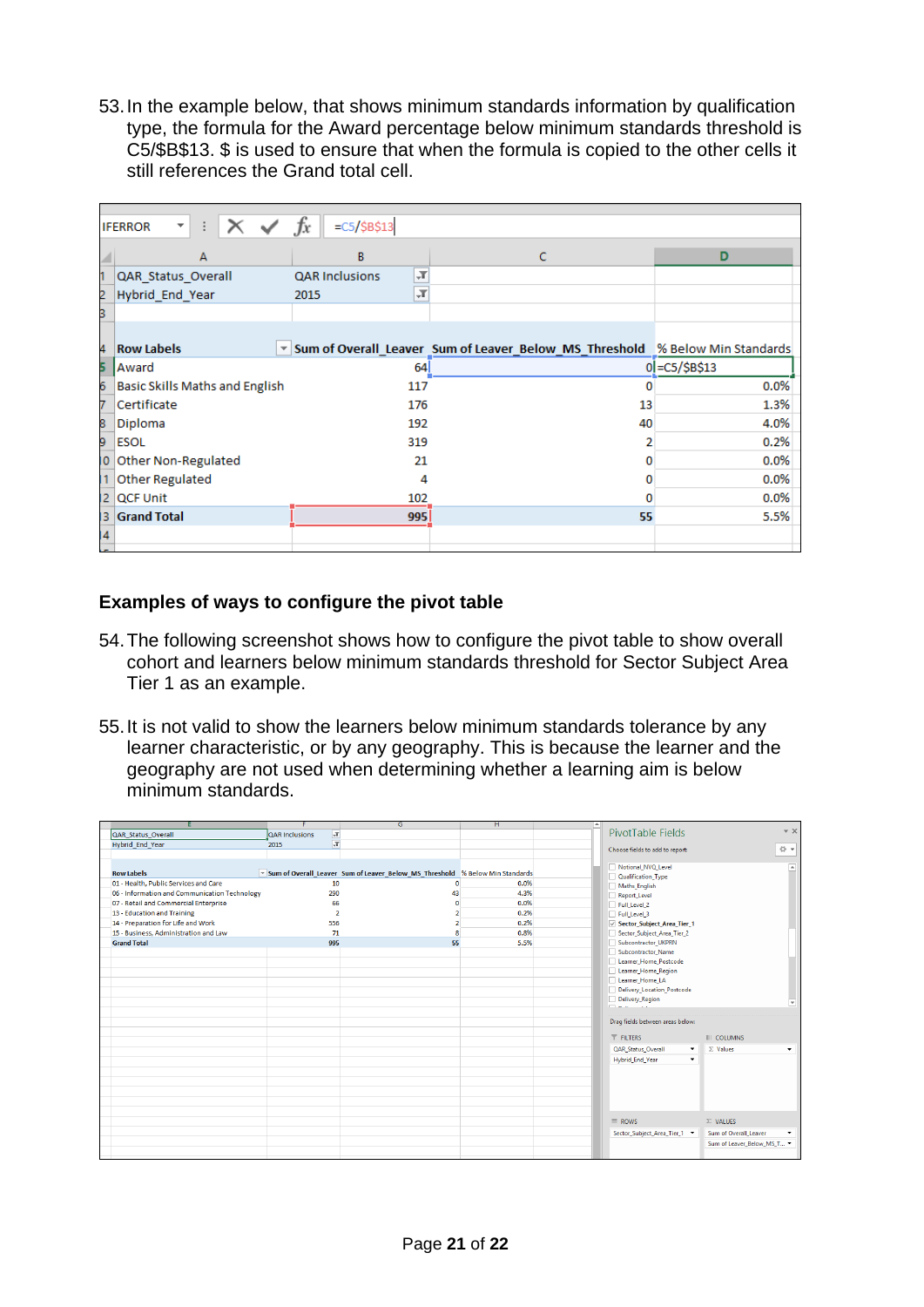53.In the example below, that shows minimum standards information by qualification type, the formula for the Award percentage below minimum standards threshold is C5/\$B\$13. \$ is used to ensure that when the formula is copied to the other cells it still references the Grand total cell.

|     | X<br><b>IFERROR</b><br>$\overline{\phantom{a}}$ | $f_x$<br>$=C5/\$B$13$                 |                                                                              |                |
|-----|-------------------------------------------------|---------------------------------------|------------------------------------------------------------------------------|----------------|
|     | A                                               | B                                     | C                                                                            | D              |
|     | QAR Status Overall                              | $\mathbb{F}$<br><b>QAR Inclusions</b> |                                                                              |                |
| 2   | Hybrid_End_Year                                 | ĻT.<br>2015                           |                                                                              |                |
| 3   |                                                 |                                       |                                                                              |                |
|     |                                                 |                                       |                                                                              |                |
| 4   | <b>Row Labels</b>                               |                                       | Sum of Overall_Leaver Sum of Leaver_Below_MS_Threshold % Below Min Standards |                |
| 5   | Award                                           | 64                                    |                                                                              | 0 = C5/\$B\$13 |
| 6   | Basic Skills Maths and English                  | 117                                   | o                                                                            | 0.0%           |
| 7   | Certificate                                     | 176                                   | 13                                                                           | 1.3%           |
| 8   | Diploma                                         | 192                                   | 40                                                                           | 4.0%           |
| 9   | <b>ESOL</b>                                     | 319                                   | 2                                                                            | 0.2%           |
| 10  | Other Non-Regulated                             | 21                                    | 0                                                                            | 0.0%           |
| 11  | <b>Other Regulated</b>                          | 4                                     | 0                                                                            | 0.0%           |
| 12. | <b>QCF Unit</b>                                 | 102                                   | 0                                                                            | 0.0%           |
| 13. | <b>Grand Total</b>                              | 995                                   | 55                                                                           | 5.5%           |
| 14  |                                                 |                                       |                                                                              |                |
|     |                                                 |                                       |                                                                              |                |

## <span id="page-20-0"></span>**Examples of ways to configure the pivot table**

- 54.The following screenshot shows how to configure the pivot table to show overall cohort and learners below minimum standards threshold for Sector Subject Area Tier 1 as an example.
- 55.It is not valid to show the learners below minimum standards tolerance by any learner characteristic, or by any geography. This is because the learner and the geography are not used when determining whether a learning aim is below minimum standards.

|                                               | F                                | G                                                                              | н    | A.               | PivotTable Fields                | $- \times$                 |
|-----------------------------------------------|----------------------------------|--------------------------------------------------------------------------------|------|------------------|----------------------------------|----------------------------|
| QAR Status Overall                            | QAR Inclusions<br>$\mathbb{T}_+$ |                                                                                |      |                  |                                  |                            |
| <b>Hybrid End Year</b>                        | $\overline{r}$<br>2015           |                                                                                |      |                  | Choose fields to add to report:  | 를 보                        |
|                                               |                                  |                                                                                |      |                  |                                  |                            |
|                                               |                                  |                                                                                |      |                  | Notional_NVQ_Level               | $\overline{a}$             |
| <b>Row Labels</b>                             |                                  | v Sum of Overall Leaver Sum of Leaver Below MS Threshold % Below Min Standards |      |                  | Qualification_Type               |                            |
| 01 - Health, Public Services and Care         | 10                               | $\mathbf{0}$                                                                   | 0.0% |                  | Maths English                    |                            |
| 06 - Information and Communication Technology | 290                              | 43                                                                             | 4.3% |                  | Report Level                     |                            |
| 07 - Retail and Commercial Enterprise         | 66                               | n                                                                              | 0.0% |                  | Full Level 2                     |                            |
| 13 - Education and Training                   | $\overline{2}$                   |                                                                                | 0.2% |                  | Full Level 3                     |                            |
| 14 - Preparation for Life and Work            | 556                              | $\overline{2}$                                                                 | 0.2% |                  | Sector_Subject_Area_Tier_1       |                            |
| 15 - Business, Administration and Law         | 71                               | R                                                                              | 0.8% |                  | Sector Subject Area Tier 2       |                            |
| <b>Grand Total</b>                            | 995                              | 55                                                                             | 5.5% |                  | Subcontractor UKPRN              |                            |
|                                               |                                  |                                                                                |      |                  | Subcontractor_Name               |                            |
|                                               |                                  |                                                                                |      |                  | Learner_Home_Postcode            |                            |
|                                               |                                  |                                                                                |      |                  | Learner_Home_Region              |                            |
|                                               |                                  |                                                                                |      |                  | Learner_Home_LA                  |                            |
|                                               |                                  |                                                                                |      |                  | Delivery_Location_Postcode       |                            |
|                                               |                                  |                                                                                |      |                  | Delivery_Region                  | ×                          |
|                                               |                                  |                                                                                |      |                  |                                  |                            |
|                                               |                                  |                                                                                |      |                  | Drag fields between areas below: |                            |
|                                               |                                  |                                                                                |      | <b>T</b> FILTERS |                                  | III COLUMNS                |
|                                               |                                  |                                                                                |      |                  | <b>QAR Status Overall</b><br>۰   | $\Sigma$ Values<br>۰       |
|                                               |                                  |                                                                                |      |                  | <b>Hybrid End Year</b><br>۰      |                            |
|                                               |                                  |                                                                                |      |                  |                                  |                            |
|                                               |                                  |                                                                                |      |                  |                                  |                            |
|                                               |                                  |                                                                                |      |                  |                                  |                            |
|                                               |                                  |                                                                                |      |                  |                                  |                            |
|                                               |                                  |                                                                                |      |                  |                                  |                            |
|                                               |                                  |                                                                                |      |                  |                                  |                            |
|                                               |                                  |                                                                                |      | $\equiv$ ROWS    |                                  | $\Sigma$ VALUES            |
|                                               |                                  |                                                                                |      |                  | Sector_Subject_Area_Tier_1 >     | Sum of Overall Leaver<br>۰ |
|                                               |                                  |                                                                                |      |                  |                                  | Sum of Leaver Below MS T   |
|                                               |                                  |                                                                                |      |                  |                                  |                            |